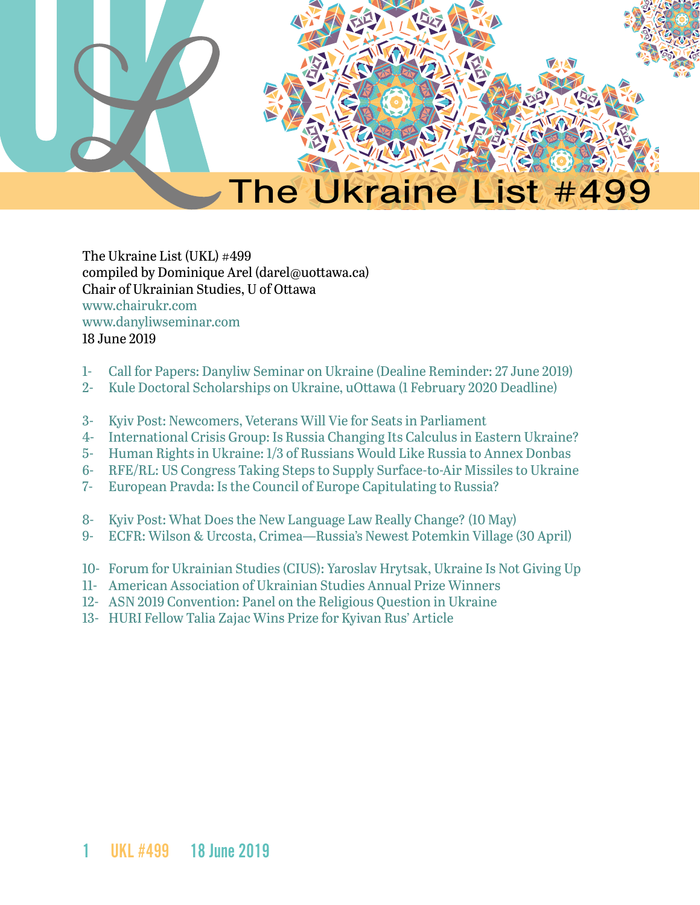

The Ukraine List (UKL) #499 compiled by Dominique Arel (darel@uottawa.ca) Chair of Ukrainian Studies, U of Ottawa [www.chairukr.com](http://www.chairukr.com) [www.danyliwseminar.com](http://www.danyliwseminar.com) 18 June 2019

- <span id="page-0-0"></span>1- [Call for Papers: Danyliw Seminar on Ukraine \(Dealine Reminder: 27 June 2019\)](#page-1-0)
- 2- [Kule Doctoral Scholarships on Ukraine, uOttawa \(1 February 2020 Deadline\)](#page-3-0)
- 3- [Kyiv Post: Newcomers, Veterans Will Vie for Seats in Parliament](#page-4-0)
- 4- [International Crisis Group: Is Russia Changing Its Calculus in Eastern Ukraine?](#page-8-0)
- 5- [Human Rights in Ukraine: 1/3 of Russians Would Like Russia to Annex Donbas](#page-11-0)
- 6- [RFE/RL: US Congress Taking Steps to Supply Surface-to-Air Missiles to Ukraine](#page-13-0)
- 7- [European Pravda: Is the Council of Europe Capitulating to Russia?](#page-15-0)
- 8- [Kyiv Post: What Does the New Language Law Really Change? \(10 May\)](#page-20-0)
- 9- ECFR: Wilson & Urcosta, Crimea—Russia's Newest Potemkin Village (30 April)
- 10- [Forum for Ukrainian Studies \(CIUS\): Yaroslav Hrytsak, Ukraine Is Not Giving Up](#page-26-0)
- 11- [American Association of Ukrainian Studies Annual Prize Winners](#page-31-0)
- 12- [ASN 2019 Convention: Panel on the Religious Question in Ukraine](#page-32-0)
- 13- HURI Fellow Talia Zajac Wins Prize for Kyivan Rus' Article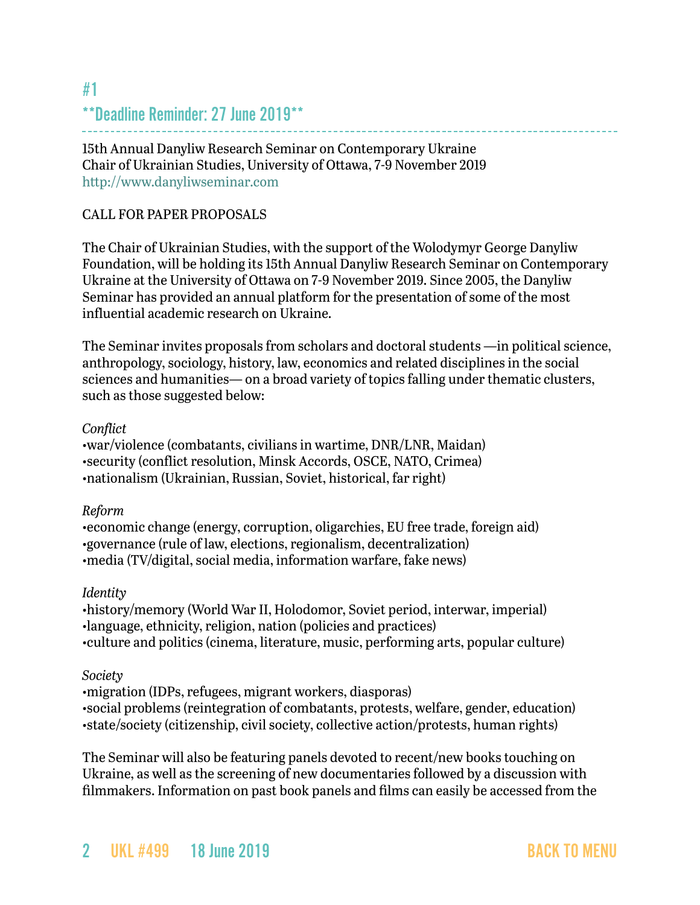## <span id="page-1-0"></span>[#1](http://#1 **Deadline Reminder: 27 June 2019** ) [\\*\\*Deadline Reminder: 27 June 2019\\*\\*](http://#1 **Deadline Reminder: 27 June 2019** )

15th Annual Danyliw Research Seminar on Contemporary Ukraine Chair of Ukrainian Studies, University of Ottawa, 7-9 November 2019 <http://www.danyliwseminar.com>

### CALL FOR PAPER PROPOSALS

The Chair of Ukrainian Studies, with the support of the Wolodymyr George Danyliw Foundation, will be holding its 15th Annual Danyliw Research Seminar on Contemporary Ukraine at the University of Ottawa on 7-9 November 2019. Since 2005, the Danyliw Seminar has provided an annual platform for the presentation of some of the most influential academic research on Ukraine.

The Seminar invites proposals from scholars and doctoral students —in political science, anthropology, sociology, history, law, economics and related disciplines in the social sciences and humanities— on a broad variety of topics falling under thematic clusters, such as those suggested below:

### *Conflict*

•war/violence (combatants, civilians in wartime, DNR/LNR, Maidan) •security (conflict resolution, Minsk Accords, OSCE, NATO, Crimea) •nationalism (Ukrainian, Russian, Soviet, historical, far right)

### *Reform*

•economic change (energy, corruption, oligarchies, EU free trade, foreign aid) •governance (rule of law, elections, regionalism, decentralization) •media (TV/digital, social media, information warfare, fake news)

### *Identity*

•history/memory (World War II, Holodomor, Soviet period, interwar, imperial) •language, ethnicity, religion, nation (policies and practices) •culture and politics (cinema, literature, music, performing arts, popular culture)

### *Society*

•migration (IDPs, refugees, migrant workers, diasporas) •social problems (reintegration of combatants, protests, welfare, gender, education) •state/society (citizenship, civil society, collective action/protests, human rights)

The Seminar will also be featuring panels devoted to recent/new books touching on Ukraine, as well as the screening of new documentaries followed by a discussion with filmmakers. Information on past book panels and films can easily be accessed from the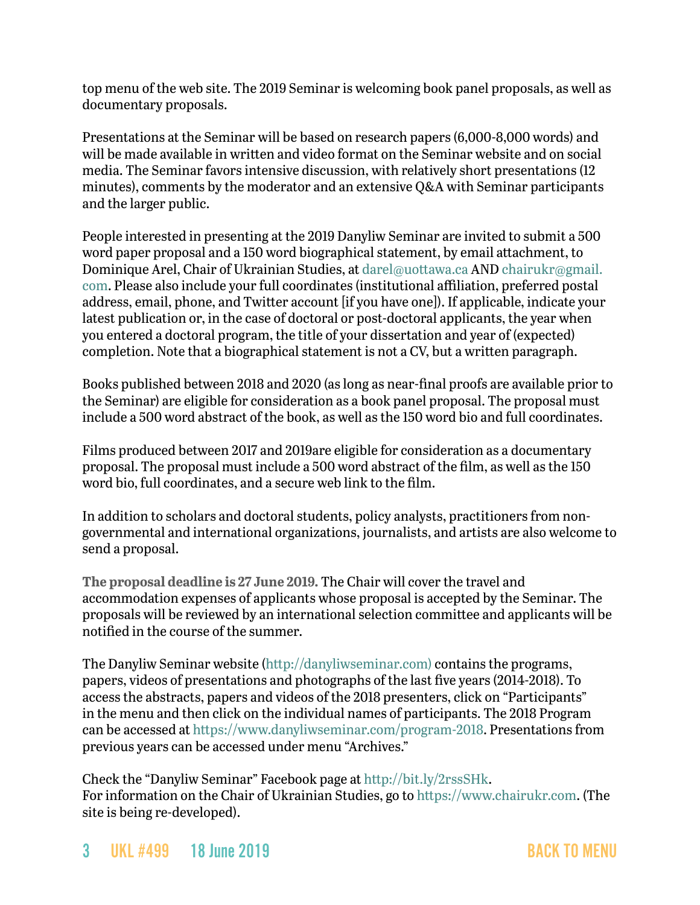top menu of the web site. The 2019 Seminar is welcoming book panel proposals, as well as documentary proposals.

Presentations at the Seminar will be based on research papers (6,000-8,000 words) and will be made available in written and video format on the Seminar website and on social media. The Seminar favors intensive discussion, with relatively short presentations (12 minutes), comments by the moderator and an extensive Q&A with Seminar participants and the larger public.

People interested in presenting at the 2019 Danyliw Seminar are invited to submit a 500 word paper proposal and a 150 word biographical statement, by email attachment, to Dominique Arel, Chair of Ukrainian Studies, at [darel@uottawa.ca](mailto:darel@uottawa.ca) AND [chairukr@gmail.](mailto:chairukr@gmail.com) [com](mailto:chairukr@gmail.com). Please also include your full coordinates (institutional affiliation, preferred postal address, email, phone, and Twitter account [if you have one]). If applicable, indicate your latest publication or, in the case of doctoral or post-doctoral applicants, the year when you entered a doctoral program, the title of your dissertation and year of (expected) completion. Note that a biographical statement is not a CV, but a written paragraph.

Books published between 2018 and 2020 (as long as near-final proofs are available prior to the Seminar) are eligible for consideration as a book panel proposal. The proposal must include a 500 word abstract of the book, as well as the 150 word bio and full coordinates.

Films produced between 2017 and 2019are eligible for consideration as a documentary proposal. The proposal must include a 500 word abstract of the film, as well as the 150 word bio, full coordinates, and a secure web link to the film.

In addition to scholars and doctoral students, policy analysts, practitioners from nongovernmental and international organizations, journalists, and artists are also welcome to send a proposal.

**The proposal deadline is 27 June 2019.** The Chair will cover the travel and accommodation expenses of applicants whose proposal is accepted by the Seminar. The proposals will be reviewed by an international selection committee and applicants will be notified in the course of the summer.

The Danyliw Seminar website [\(http://danyliwseminar.com\)](http://danyliwseminar.com)) contains the programs, papers, videos of presentations and photographs of the last five years (2014-2018). To access the abstracts, papers and videos of the 2018 presenters, click on "Participants" in the menu and then click on the individual names of participants. The 2018 Program can be accessed at [https://www.danyliwseminar.com/program-2018.](https://www.danyliwseminar.com/program-2018) Presentations from previous years can be accessed under menu "Archives."

Check the "Danyliw Seminar" Facebook page at<http://bit.ly/2rssSHk>. For information on the Chair of Ukrainian Studies, go to <https://www.chairukr.com>. (The site is being re-developed).

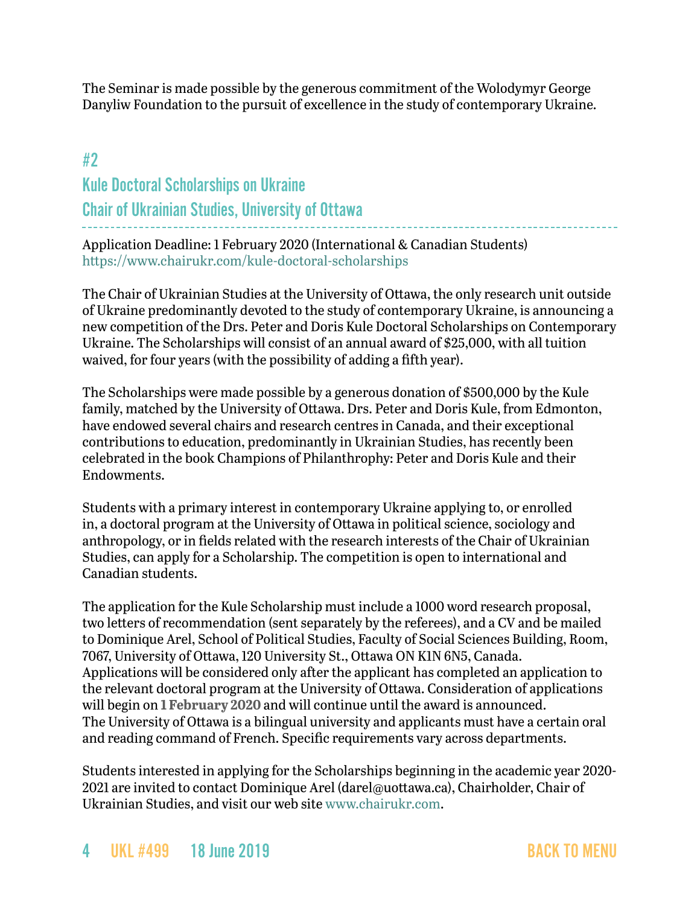The Seminar is made possible by the generous commitment of the Wolodymyr George Danyliw Foundation to the pursuit of excellence in the study of contemporary Ukraine.

### <span id="page-3-0"></span>#2

# Kule Doctoral Scholarships on Ukraine Chair of Ukrainian Studies, University of Ottawa

Application Deadline: 1 February 2020 (International & Canadian Students) <https://www.chairukr.com/kule-doctoral-scholarships>

The Chair of Ukrainian Studies at the University of Ottawa, the only research unit outside of Ukraine predominantly devoted to the study of contemporary Ukraine, is announcing a new competition of the Drs. Peter and Doris Kule Doctoral Scholarships on Contemporary Ukraine. The Scholarships will consist of an annual award of \$25,000, with all tuition waived, for four years (with the possibility of adding a fifth year).

The Scholarships were made possible by a generous donation of \$500,000 by the Kule family, matched by the University of Ottawa. Drs. Peter and Doris Kule, from Edmonton, have endowed several chairs and research centres in Canada, and their exceptional contributions to education, predominantly in Ukrainian Studies, has recently been celebrated in the book Champions of Philanthrophy: Peter and Doris Kule and their Endowments.

Students with a primary interest in contemporary Ukraine applying to, or enrolled in, a doctoral program at the University of Ottawa in political science, sociology and anthropology, or in fields related with the research interests of the Chair of Ukrainian Studies, can apply for a Scholarship. The competition is open to international and Canadian students.

The application for the Kule Scholarship must include a 1000 word research proposal, two letters of recommendation (sent separately by the referees), and a CV and be mailed to Dominique Arel, School of Political Studies, Faculty of Social Sciences Building, Room, 7067, University of Ottawa, 120 University St., Ottawa ON K1N 6N5, Canada. Applications will be considered only after the applicant has completed an application to the relevant doctoral program at the University of Ottawa. Consideration of applications will begin on **1 February 2020** and will continue until the award is announced. The University of Ottawa is a bilingual university and applicants must have a certain oral and reading command of French. Specific requirements vary across departments.

Students interested in applying for the Scholarships beginning in the academic year 2020 2021 are invited to contact Dominique Arel ([darel@uottawa.ca\)](mailto:darel@uottawa.ca), Chairholder, Chair of Ukrainian Studies, and visit our web site [www.chairukr.com](http://www.chairukr.com).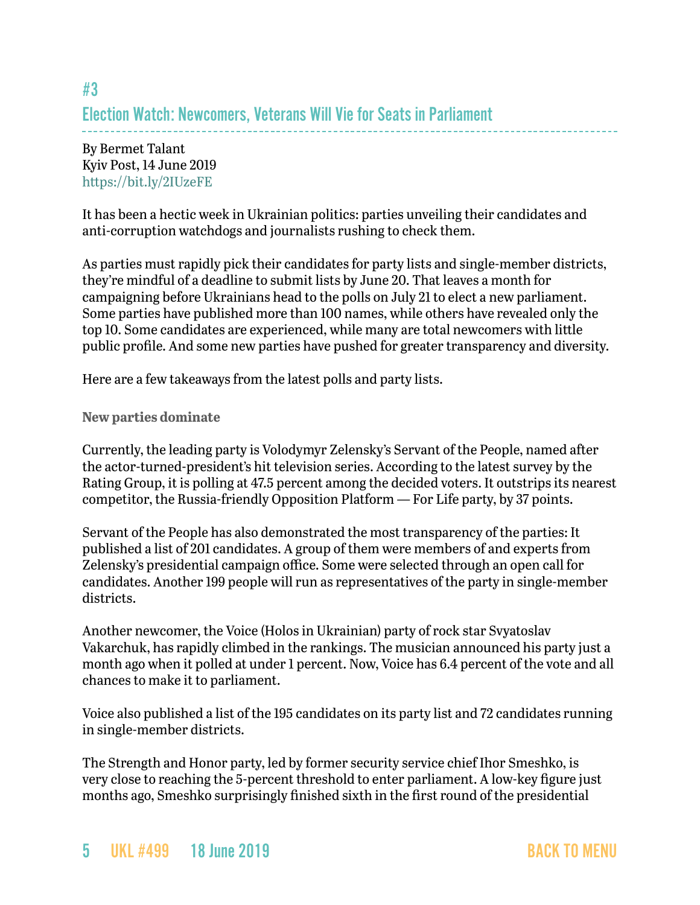## <span id="page-4-0"></span>#3 Election Watch: Newcomers, Veterans Will Vie for Seats in Parliament

By Bermet Talant Kyiv Post, 14 June 2019 <https://bit.ly/2IUzeFE>

It has been a hectic week in Ukrainian politics: parties unveiling their candidates and anti-corruption watchdogs and journalists rushing to check them.

As parties must rapidly pick their candidates for party lists and single-member districts, they're mindful of a deadline to submit lists by June 20. That leaves a month for campaigning before Ukrainians head to the polls on July 21 to elect a new parliament. Some parties have published more than 100 names, while others have revealed only the top 10. Some candidates are experienced, while many are total newcomers with little public profile. And some new parties have pushed for greater transparency and diversity.

Here are a few takeaways from the latest polls and party lists.

### **New parties dominate**

Currently, the leading party is Volodymyr Zelensky's Servant of the People, named after the actor-turned-president's hit television series. According to the latest survey by the Rating Group, it is polling at 47.5 percent among the decided voters. It outstrips its nearest competitor, the Russia-friendly Opposition Platform — For Life party, by 37 points.

Servant of the People has also demonstrated the most transparency of the parties: It published a list of 201 candidates. A group of them were members of and experts from Zelensky's presidential campaign office. Some were selected through an open call for candidates. Another 199 people will run as representatives of the party in single-member districts.

Another newcomer, the Voice (Holos in Ukrainian) party of rock star Svyatoslav Vakarchuk, has rapidly climbed in the rankings. The musician announced his party just a month ago when it polled at under 1 percent. Now, Voice has 6.4 percent of the vote and all chances to make it to parliament.

Voice also published a list of the 195 candidates on its party list and 72 candidates running in single-member districts.

The Strength and Honor party, led by former security service chief Ihor Smeshko, is very close to reaching the 5-percent threshold to enter parliament. A low-key figure just months ago, Smeshko surprisingly finished sixth in the first round of the presidential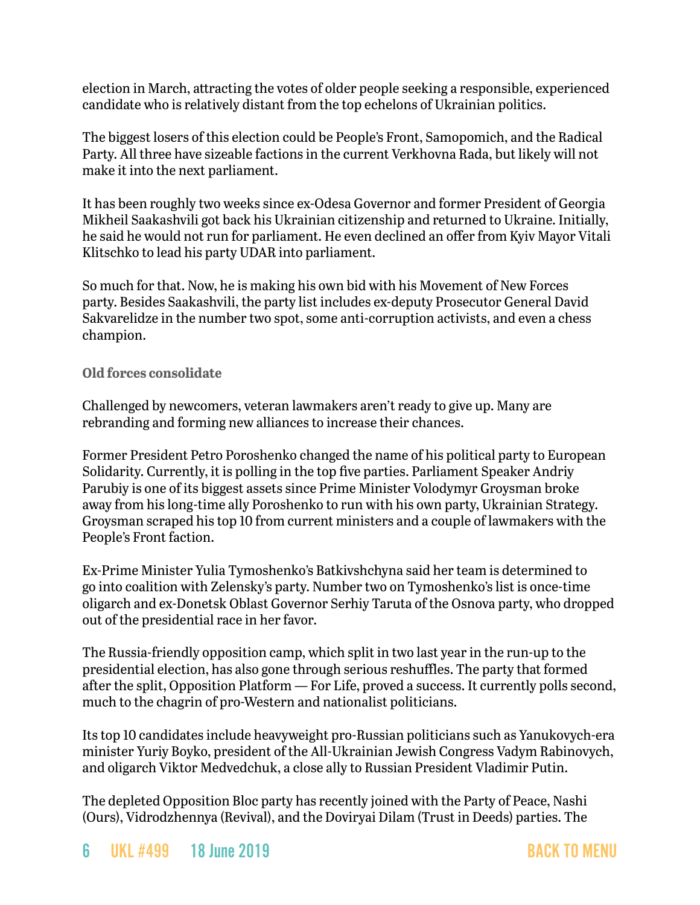election in March, attracting the votes of older people seeking a responsible, experienced candidate who is relatively distant from the top echelons of Ukrainian politics.

The biggest losers of this election could be People's Front, Samopomich, and the Radical Party. All three have sizeable factions in the current Verkhovna Rada, but likely will not make it into the next parliament.

It has been roughly two weeks since ex-Odesa Governor and former President of Georgia Mikheil Saakashvili got back his Ukrainian citizenship and returned to Ukraine. Initially, he said he would not run for parliament. He even declined an offer from Kyiv Mayor Vitali Klitschko to lead his party UDAR into parliament.

So much for that. Now, he is making his own bid with his Movement of New Forces party. Besides Saakashvili, the party list includes ex-deputy Prosecutor General David Sakvarelidze in the number two spot, some anti-corruption activists, and even a chess champion.

### **Old forces consolidate**

Challenged by newcomers, veteran lawmakers aren't ready to give up. Many are rebranding and forming new alliances to increase their chances.

Former President Petro Poroshenko changed the name of his political party to European Solidarity. Currently, it is polling in the top five parties. Parliament Speaker Andriy Parubiy is one of its biggest assets since Prime Minister Volodymyr Groysman broke away from his long-time ally Poroshenko to run with his own party, Ukrainian Strategy. Groysman scraped his top 10 from current ministers and a couple of lawmakers with the People's Front faction.

Ex-Prime Minister Yulia Tymoshenko's Batkivshchyna said her team is determined to go into coalition with Zelensky's party. Number two on Tymoshenko's list is once-time oligarch and ex-Donetsk Oblast Governor Serhiy Taruta of the Osnova party, who dropped out of the presidential race in her favor.

The Russia-friendly opposition camp, which split in two last year in the run-up to the presidential election, has also gone through serious reshuffles. The party that formed after the split, Opposition Platform — For Life, proved a success. It currently polls second, much to the chagrin of pro-Western and nationalist politicians.

Its top 10 candidates include heavyweight pro-Russian politicians such as Yanukovych-era minister Yuriy Boyko, president of the All-Ukrainian Jewish Congress Vadym Rabinovych, and oligarch Viktor Medvedchuk, a close ally to Russian President Vladimir Putin.

The depleted Opposition Bloc party has recently joined with the Party of Peace, Nashi (Ours), Vidrodzhennya (Revival), and the Doviryai Dilam (Trust in Deeds) parties. The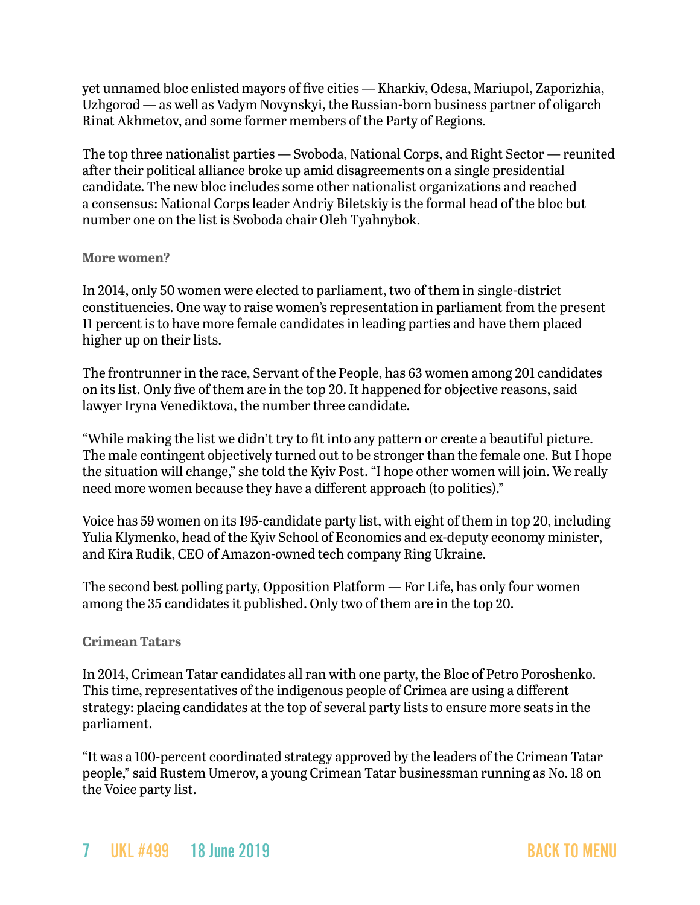yet unnamed bloc enlisted mayors of five cities — Kharkiv, Odesa, Mariupol, Zaporizhia, Uzhgorod — as well as Vadym Novynskyi, the Russian-born business partner of oligarch Rinat Akhmetov, and some former members of the Party of Regions.

The top three nationalist parties — Svoboda, National Corps, and Right Sector — reunited after their political alliance broke up amid disagreements on a single presidential candidate. The new bloc includes some other nationalist organizations and reached a consensus: National Corps leader Andriy Biletskiy is the formal head of the bloc but number one on the list is Svoboda chair Oleh Tyahnybok.

#### **More women?**

In 2014, only 50 women were elected to parliament, two of them in single-district constituencies. One way to raise women's representation in parliament from the present 11 percent is to have more female candidates in leading parties and have them placed higher up on their lists.

The frontrunner in the race, Servant of the People, has 63 women among 201 candidates on its list. Only five of them are in the top 20. It happened for objective reasons, said lawyer Iryna Venediktova, the number three candidate.

"While making the list we didn't try to fit into any pattern or create a beautiful picture. The male contingent objectively turned out to be stronger than the female one. But I hope the situation will change," she told the Kyiv Post. "I hope other women will join. We really need more women because they have a different approach (to politics)."

Voice has 59 women on its 195-candidate party list, with eight of them in top 20, including Yulia Klymenko, head of the Kyiv School of Economics and ex-deputy economy minister, and Kira Rudik, CEO of Amazon-owned tech company Ring Ukraine.

The second best polling party, Opposition Platform — For Life, has only four women among the 35 candidates it published. Only two of them are in the top 20.

### **Crimean Tatars**

In 2014, Crimean Tatar candidates all ran with one party, the Bloc of Petro Poroshenko. This time, representatives of the indigenous people of Crimea are using a different strategy: placing candidates at the top of several party lists to ensure more seats in the parliament.

"It was a 100-percent coordinated strategy approved by the leaders of the Crimean Tatar people," said Rustem Umerov, a young Crimean Tatar businessman running as No. 18 on the Voice party list.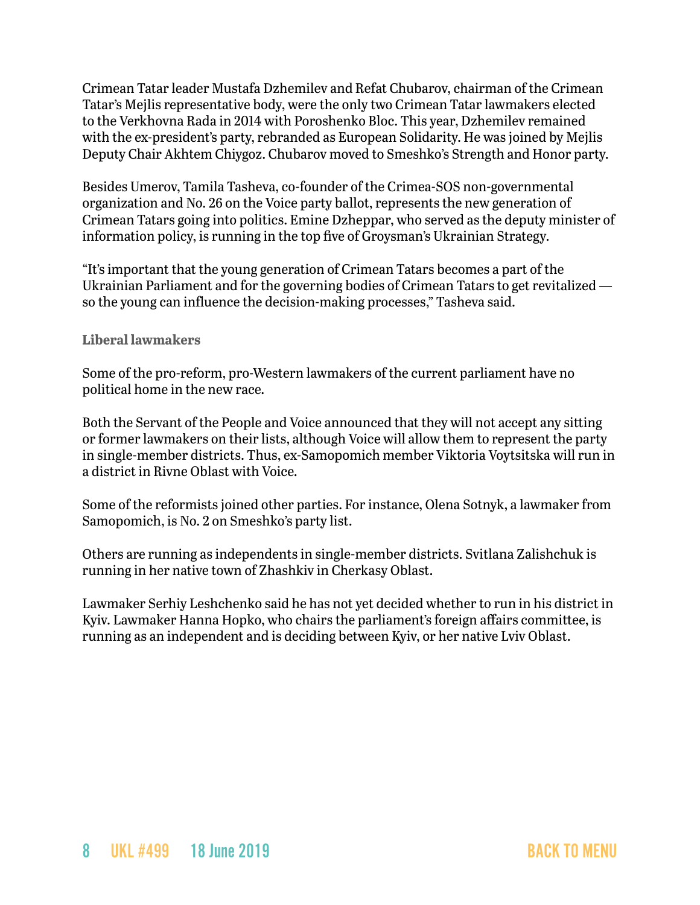Crimean Tatar leader Mustafa Dzhemilev and Refat Chubarov, chairman of the Crimean Tatar's Mejlis representative body, were the only two Crimean Tatar lawmakers elected to the Verkhovna Rada in 2014 with Poroshenko Bloc. This year, Dzhemilev remained with the ex-president's party, rebranded as European Solidarity. He was joined by Mejlis Deputy Chair Akhtem Chiygoz. Chubarov moved to Smeshko's Strength and Honor party.

Besides Umerov, Tamila Tasheva, co-founder of the Crimea-SOS non-governmental organization and No. 26 on the Voice party ballot, represents the new generation of Crimean Tatars going into politics. Emine Dzheppar, who served as the deputy minister of information policy, is running in the top five of Groysman's Ukrainian Strategy.

"It's important that the young generation of Crimean Tatars becomes a part of the Ukrainian Parliament and for the governing bodies of Crimean Tatars to get revitalized so the young can influence the decision-making processes," Tasheva said.

### **Liberal lawmakers**

Some of the pro-reform, pro-Western lawmakers of the current parliament have no political home in the new race.

Both the Servant of the People and Voice announced that they will not accept any sitting or former lawmakers on their lists, although Voice will allow them to represent the party in single-member districts. Thus, ex-Samopomich member Viktoria Voytsitska will run in a district in Rivne Oblast with Voice.

Some of the reformists joined other parties. For instance, Olena Sotnyk, a lawmaker from Samopomich, is No. 2 on Smeshko's party list.

Others are running as independents in single-member districts. Svitlana Zalishchuk is running in her native town of Zhashkiv in Cherkasy Oblast.

Lawmaker Serhiy Leshchenko said he has not yet decided whether to run in his district in Kyiv. Lawmaker Hanna Hopko, who chairs the parliament's foreign affairs committee, is running as an independent and is deciding between Kyiv, or her native Lviv Oblast.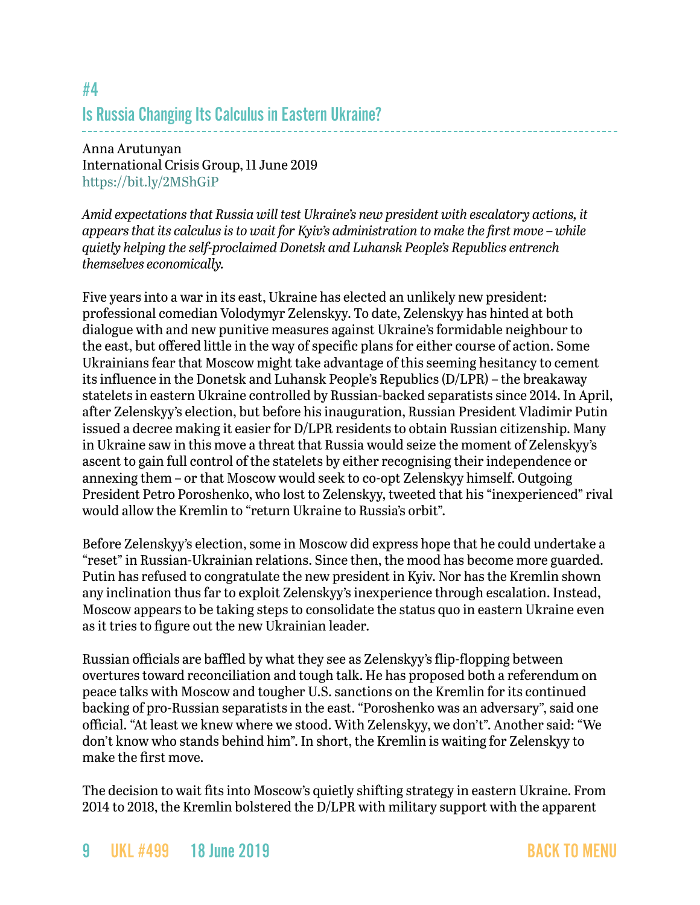## <span id="page-8-0"></span>#4 Is Russia Changing Its Calculus in Eastern Ukraine?

### Anna Arutunyan International Crisis Group, 11 June 2019 <https://bit.ly/2MShGiP>

*Amid expectations that Russia will test Ukraine's new president with escalatory actions, it appears that its calculus is to wait for Kyiv's administration to make the first move – while quietly helping the self-proclaimed Donetsk and Luhansk People's Republics entrench themselves economically.*

Five years into a war in its east, Ukraine has elected an unlikely new president: professional comedian Volodymyr Zelenskyy. To date, Zelenskyy has hinted at both dialogue with and new punitive measures against Ukraine's formidable neighbour to the east, but offered little in the way of specific plans for either course of action. Some Ukrainians fear that Moscow might take advantage of this seeming hesitancy to cement its influence in the Donetsk and Luhansk People's Republics (D/LPR) – the breakaway statelets in eastern Ukraine controlled by Russian-backed separatists since 2014. In April, after Zelenskyy's election, but before his inauguration, Russian President Vladimir Putin issued a decree making it easier for D/LPR residents to obtain Russian citizenship. Many in Ukraine saw in this move a threat that Russia would seize the moment of Zelenskyy's ascent to gain full control of the statelets by either recognising their independence or annexing them – or that Moscow would seek to co-opt Zelenskyy himself. Outgoing President Petro Poroshenko, who lost to Zelenskyy, tweeted that his "inexperienced" rival would allow the Kremlin to "return Ukraine to Russia's orbit".

Before Zelenskyy's election, some in Moscow did express hope that he could undertake a "reset" in Russian-Ukrainian relations. Since then, the mood has become more guarded. Putin has refused to congratulate the new president in Kyiv. Nor has the Kremlin shown any inclination thus far to exploit Zelenskyy's inexperience through escalation. Instead, Moscow appears to be taking steps to consolidate the status quo in eastern Ukraine even as it tries to figure out the new Ukrainian leader.

Russian officials are baffled by what they see as Zelenskyy's flip-flopping between overtures toward reconciliation and tough talk. He has proposed both a referendum on peace talks with Moscow and tougher U.S. sanctions on the Kremlin for its continued backing of pro-Russian separatists in the east. "Poroshenko was an adversary", said one official. "At least we knew where we stood. With Zelenskyy, we don't". Another said: "We don't know who stands behind him". In short, the Kremlin is waiting for Zelenskyy to make the first move.

The decision to wait fits into Moscow's quietly shifting strategy in eastern Ukraine. From 2014 to 2018, the Kremlin bolstered the D/LPR with military support with the apparent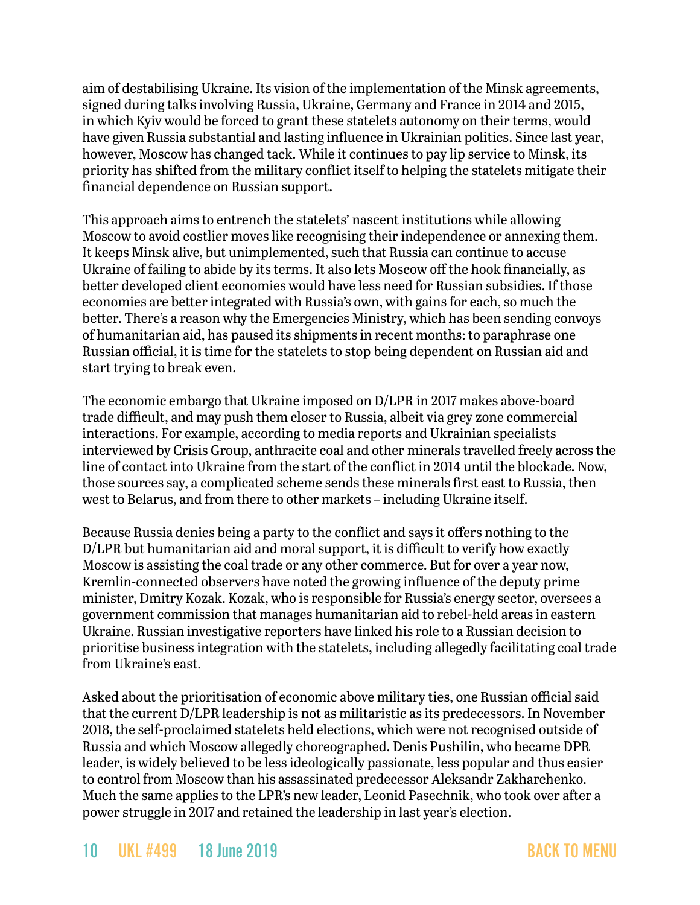aim of destabilising Ukraine. Its vision of the implementation of the Minsk agreements, signed during talks involving Russia, Ukraine, Germany and France in 2014 and 2015, in which Kyiv would be forced to grant these statelets autonomy on their terms, would have given Russia substantial and lasting influence in Ukrainian politics. Since last year, however, Moscow has changed tack. While it continues to pay lip service to Minsk, its priority has shifted from the military conflict itself to helping the statelets mitigate their financial dependence on Russian support.

This approach aims to entrench the statelets' nascent institutions while allowing Moscow to avoid costlier moves like recognising their independence or annexing them. It keeps Minsk alive, but unimplemented, such that Russia can continue to accuse Ukraine of failing to abide by its terms. It also lets Moscow off the hook financially, as better developed client economies would have less need for Russian subsidies. If those economies are better integrated with Russia's own, with gains for each, so much the better. There's a reason why the Emergencies Ministry, which has been sending convoys of humanitarian aid, has paused its shipments in recent months: to paraphrase one Russian official, it is time for the statelets to stop being dependent on Russian aid and start trying to break even.

The economic embargo that Ukraine imposed on D/LPR in 2017 makes above-board trade difficult, and may push them closer to Russia, albeit via grey zone commercial interactions. For example, according to media reports and Ukrainian specialists interviewed by Crisis Group, anthracite coal and other minerals travelled freely across the line of contact into Ukraine from the start of the conflict in 2014 until the blockade. Now, those sources say, a complicated scheme sends these minerals first east to Russia, then west to Belarus, and from there to other markets – including Ukraine itself.

Because Russia denies being a party to the conflict and says it offers nothing to the D/LPR but humanitarian aid and moral support, it is difficult to verify how exactly Moscow is assisting the coal trade or any other commerce. But for over a year now, Kremlin-connected observers have noted the growing influence of the deputy prime minister, Dmitry Kozak. Kozak, who is responsible for Russia's energy sector, oversees a government commission that manages humanitarian aid to rebel-held areas in eastern Ukraine. Russian investigative reporters have linked his role to a Russian decision to prioritise business integration with the statelets, including allegedly facilitating coal trade from Ukraine's east.

Asked about the prioritisation of economic above military ties, one Russian official said that the current D/LPR leadership is not as militaristic as its predecessors. In November 2018, the self-proclaimed statelets held elections, which were not recognised outside of Russia and which Moscow allegedly choreographed. Denis Pushilin, who became DPR leader, is widely believed to be less ideologically passionate, less popular and thus easier to control from Moscow than his assassinated predecessor Aleksandr Zakharchenko. Much the same applies to the LPR's new leader, Leonid Pasechnik, who took over after a power struggle in 2017 and retained the leadership in last year's election.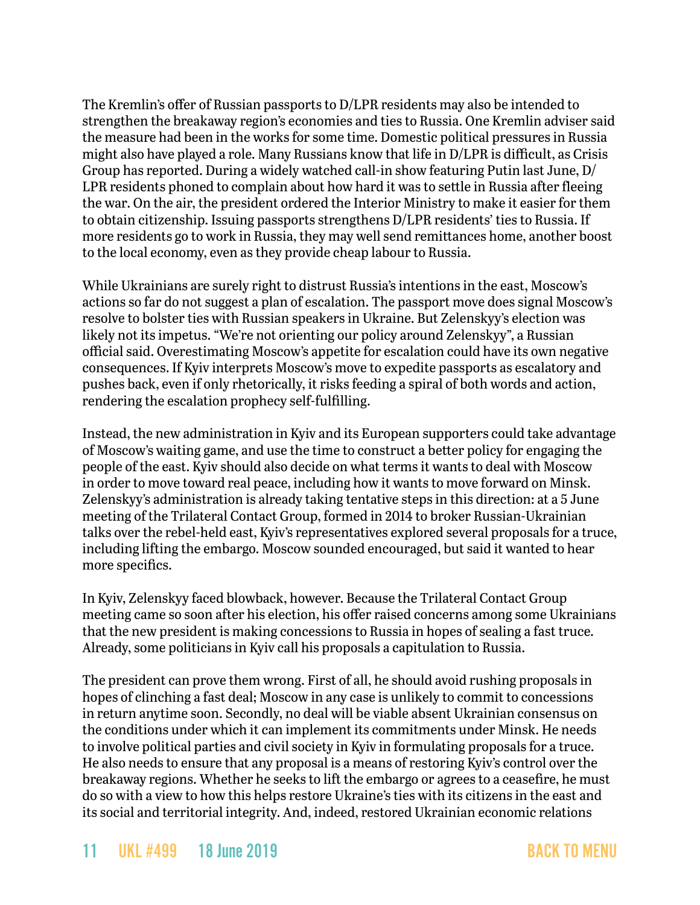The Kremlin's offer of Russian passports to D/LPR residents may also be intended to strengthen the breakaway region's economies and ties to Russia. One Kremlin adviser said the measure had been in the works for some time. Domestic political pressures in Russia might also have played a role. Many Russians know that life in D/LPR is difficult, as Crisis Group has reported. During a widely watched call-in show featuring Putin last June, D/ LPR residents phoned to complain about how hard it was to settle in Russia after fleeing the war. On the air, the president ordered the Interior Ministry to make it easier for them to obtain citizenship. Issuing passports strengthens D/LPR residents' ties to Russia. If more residents go to work in Russia, they may well send remittances home, another boost to the local economy, even as they provide cheap labour to Russia.

While Ukrainians are surely right to distrust Russia's intentions in the east, Moscow's actions so far do not suggest a plan of escalation. The passport move does signal Moscow's resolve to bolster ties with Russian speakers in Ukraine. But Zelenskyy's election was likely not its impetus. "We're not orienting our policy around Zelenskyy", a Russian official said. Overestimating Moscow's appetite for escalation could have its own negative consequences. If Kyiv interprets Moscow's move to expedite passports as escalatory and pushes back, even if only rhetorically, it risks feeding a spiral of both words and action, rendering the escalation prophecy self-fulfilling.

Instead, the new administration in Kyiv and its European supporters could take advantage of Moscow's waiting game, and use the time to construct a better policy for engaging the people of the east. Kyiv should also decide on what terms it wants to deal with Moscow in order to move toward real peace, including how it wants to move forward on Minsk. Zelenskyy's administration is already taking tentative steps in this direction: at a 5 June meeting of the Trilateral Contact Group, formed in 2014 to broker Russian-Ukrainian talks over the rebel-held east, Kyiv's representatives explored several proposals for a truce, including lifting the embargo. Moscow sounded encouraged, but said it wanted to hear more specifics.

In Kyiv, Zelenskyy faced blowback, however. Because the Trilateral Contact Group meeting came so soon after his election, his offer raised concerns among some Ukrainians that the new president is making concessions to Russia in hopes of sealing a fast truce. Already, some politicians in Kyiv call his proposals a capitulation to Russia.

The president can prove them wrong. First of all, he should avoid rushing proposals in hopes of clinching a fast deal; Moscow in any case is unlikely to commit to concessions in return anytime soon. Secondly, no deal will be viable absent Ukrainian consensus on the conditions under which it can implement its commitments under Minsk. He needs to involve political parties and civil society in Kyiv in formulating proposals for a truce. He also needs to ensure that any proposal is a means of restoring Kyiv's control over the breakaway regions. Whether he seeks to lift the embargo or agrees to a ceasefire, he must do so with a view to how this helps restore Ukraine's ties with its citizens in the east and its social and territorial integrity. And, indeed, restored Ukrainian economic relations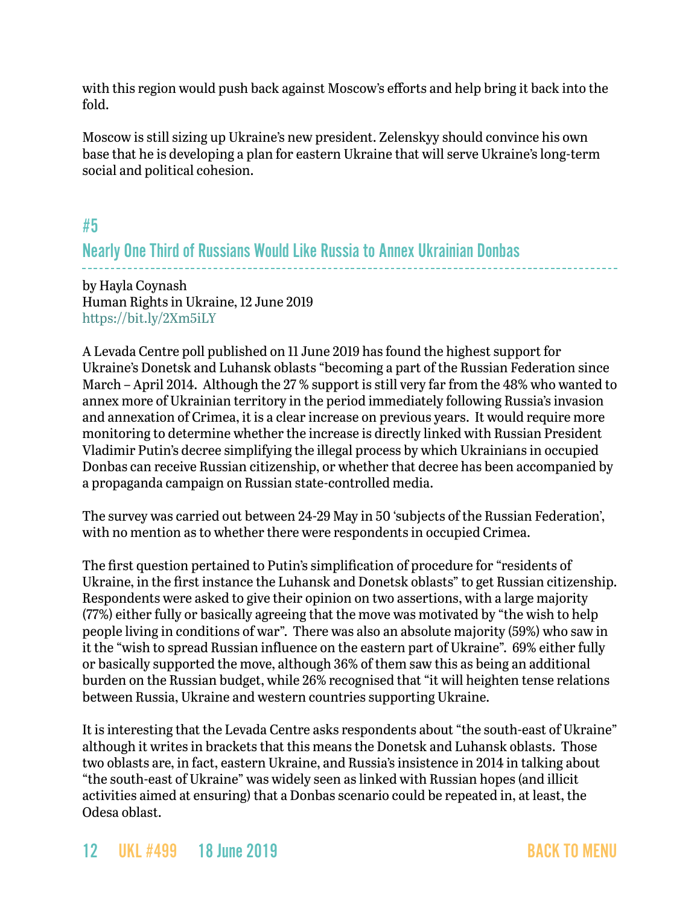with this region would push back against Moscow's efforts and help bring it back into the fold.

Moscow is still sizing up Ukraine's new president. Zelenskyy should convince his own base that he is developing a plan for eastern Ukraine that will serve Ukraine's long-term social and political cohesion.

### <span id="page-11-0"></span>#5

## Nearly One Third of Russians Would Like Russia to Annex Ukrainian Donbas

by Hayla Coynash Human Rights in Ukraine, 12 June 2019 <https://bit.ly/2Xm5iLY>

A Levada Centre poll published on 11 June 2019 has found the highest support for Ukraine's Donetsk and Luhansk oblasts "becoming a part of the Russian Federation since March – April 2014. Although the 27 % support is still very far from the 48% who wanted to annex more of Ukrainian territory in the period immediately following Russia's invasion and annexation of Crimea, it is a clear increase on previous years. It would require more monitoring to determine whether the increase is directly linked with Russian President Vladimir Putin's decree simplifying the illegal process by which Ukrainians in occupied Donbas can receive Russian citizenship, or whether that decree has been accompanied by a propaganda campaign on Russian state-controlled media.

The survey was carried out between 24-29 May in 50 'subjects of the Russian Federation', with no mention as to whether there were respondents in occupied Crimea.

The first question pertained to Putin's simplification of procedure for "residents of Ukraine, in the first instance the Luhansk and Donetsk oblasts" to get Russian citizenship. Respondents were asked to give their opinion on two assertions, with a large majority (77%) either fully or basically agreeing that the move was motivated by "the wish to help people living in conditions of war". There was also an absolute majority (59%) who saw in it the "wish to spread Russian influence on the eastern part of Ukraine". 69% either fully or basically supported the move, although 36% of them saw this as being an additional burden on the Russian budget, while 26% recognised that "it will heighten tense relations between Russia, Ukraine and western countries supporting Ukraine.

It is interesting that the Levada Centre asks respondents about "the south-east of Ukraine" although it writes in brackets that this means the Donetsk and Luhansk oblasts. Those two oblasts are, in fact, eastern Ukraine, and Russia's insistence in 2014 in talking about "the south-east of Ukraine" was widely seen as linked with Russian hopes (and illicit activities aimed at ensuring) that a Donbas scenario could be repeated in, at least, the Odesa oblast.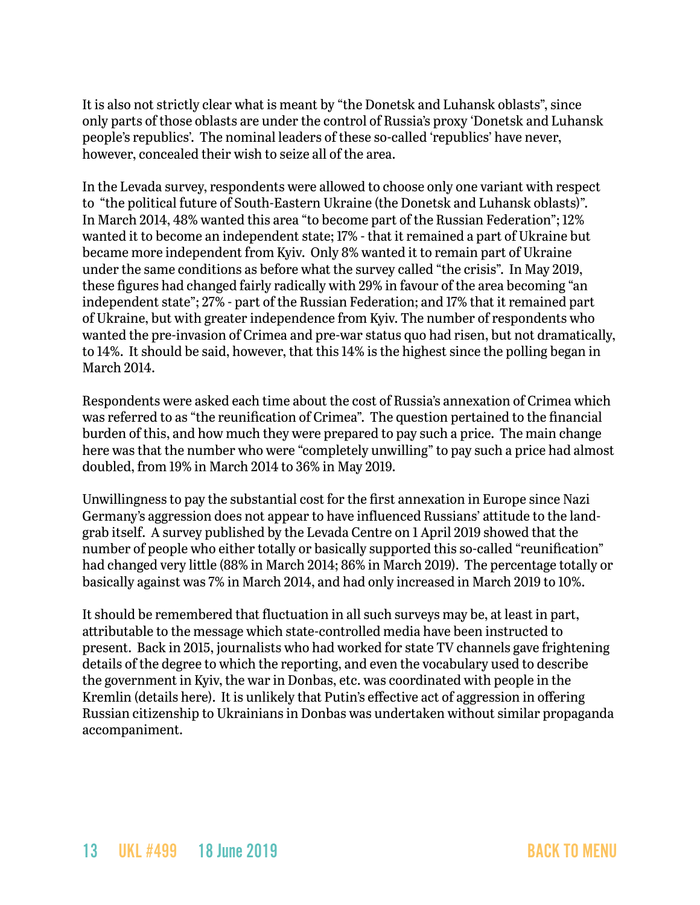It is also not strictly clear what is meant by "the Donetsk and Luhansk oblasts", since only parts of those oblasts are under the control of Russia's proxy 'Donetsk and Luhansk people's republics'. The nominal leaders of these so-called 'republics' have never, however, concealed their wish to seize all of the area.

In the Levada survey, respondents were allowed to choose only one variant with respect to "the political future of South-Eastern Ukraine (the Donetsk and Luhansk oblasts)". In March 2014, 48% wanted this area "to become part of the Russian Federation"; 12% wanted it to become an independent state; 17% - that it remained a part of Ukraine but became more independent from Kyiv. Only 8% wanted it to remain part of Ukraine under the same conditions as before what the survey called "the crisis". In May 2019, these figures had changed fairly radically with 29% in favour of the area becoming "an independent state"; 27% - part of the Russian Federation; and 17% that it remained part of Ukraine, but with greater independence from Kyiv. The number of respondents who wanted the pre-invasion of Crimea and pre-war status quo had risen, but not dramatically, to 14%. It should be said, however, that this 14% is the highest since the polling began in March 2014.

Respondents were asked each time about the cost of Russia's annexation of Crimea which was referred to as "the reunification of Crimea". The question pertained to the financial burden of this, and how much they were prepared to pay such a price. The main change here was that the number who were "completely unwilling" to pay such a price had almost doubled, from 19% in March 2014 to 36% in May 2019.

Unwillingness to pay the substantial cost for the first annexation in Europe since Nazi Germany's aggression does not appear to have influenced Russians' attitude to the landgrab itself. A survey published by the Levada Centre on 1 April 2019 showed that the number of people who either totally or basically supported this so-called "reunification" had changed very little (88% in March 2014; 86% in March 2019). The percentage totally or basically against was 7% in March 2014, and had only increased in March 2019 to 10%.

It should be remembered that fluctuation in all such surveys may be, at least in part, attributable to the message which state-controlled media have been instructed to present. Back in 2015, journalists who had worked for state TV channels gave frightening details of the degree to which the reporting, and even the vocabulary used to describe the government in Kyiv, the war in Donbas, etc. was coordinated with people in the Kremlin (details here). It is unlikely that Putin's effective act of aggression in offering Russian citizenship to Ukrainians in Donbas was undertaken without similar propaganda accompaniment.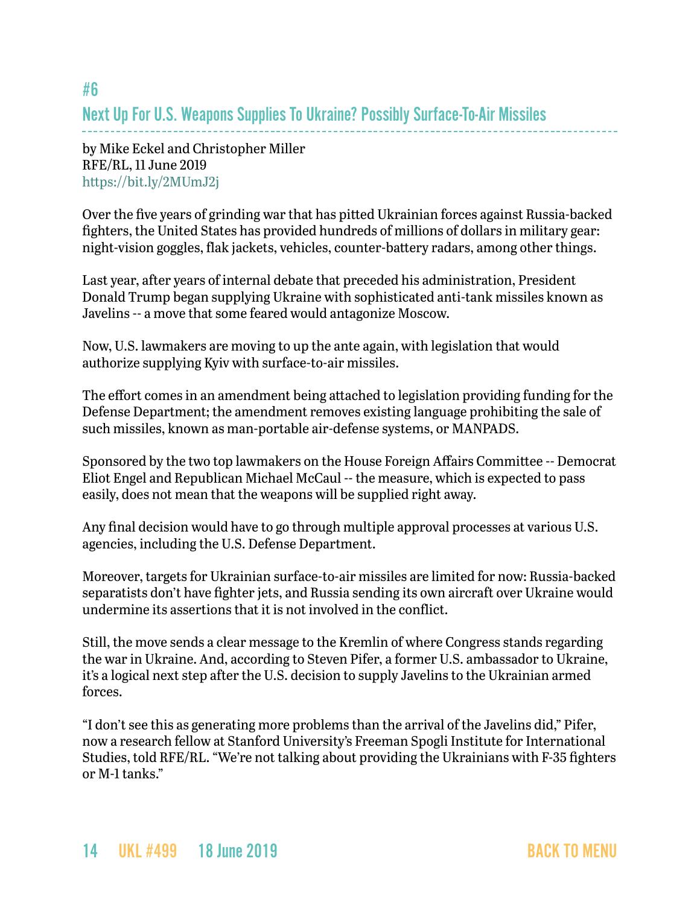## <span id="page-13-0"></span>#6 Next Up For U.S. Weapons Supplies To Ukraine? Possibly Surface-To-Air Missiles

by Mike Eckel and Christopher Miller RFE/RL, 11 June 2019 <https://bit.ly/2MUmJ2j>

Over the five years of grinding war that has pitted Ukrainian forces against Russia-backed fighters, the United States has provided hundreds of millions of dollars in military gear: night-vision goggles, flak jackets, vehicles, counter-battery radars, among other things.

Last year, after years of internal debate that preceded his administration, President Donald Trump began supplying Ukraine with sophisticated anti-tank missiles known as Javelins -- a move that some feared would antagonize Moscow.

Now, U.S. lawmakers are moving to up the ante again, with legislation that would authorize supplying Kyiv with surface-to-air missiles.

The effort comes in an amendment being attached to legislation providing funding for the Defense Department; the amendment removes existing language prohibiting the sale of such missiles, known as man-portable air-defense systems, or MANPADS.

Sponsored by the two top lawmakers on the House Foreign Affairs Committee -- Democrat Eliot Engel and Republican Michael McCaul -- the measure, which is expected to pass easily, does not mean that the weapons will be supplied right away.

Any final decision would have to go through multiple approval processes at various U.S. agencies, including the U.S. Defense Department.

Moreover, targets for Ukrainian surface-to-air missiles are limited for now: Russia-backed separatists don't have fighter jets, and Russia sending its own aircraft over Ukraine would undermine its assertions that it is not involved in the conflict.

Still, the move sends a clear message to the Kremlin of where Congress stands regarding the war in Ukraine. And, according to Steven Pifer, a former U.S. ambassador to Ukraine, it's a logical next step after the U.S. decision to supply Javelins to the Ukrainian armed forces.

"I don't see this as generating more problems than the arrival of the Javelins did," Pifer, now a research fellow at Stanford University's Freeman Spogli Institute for International Studies, told RFE/RL. "We're not talking about providing the Ukrainians with F-35 fighters or M-1 tanks."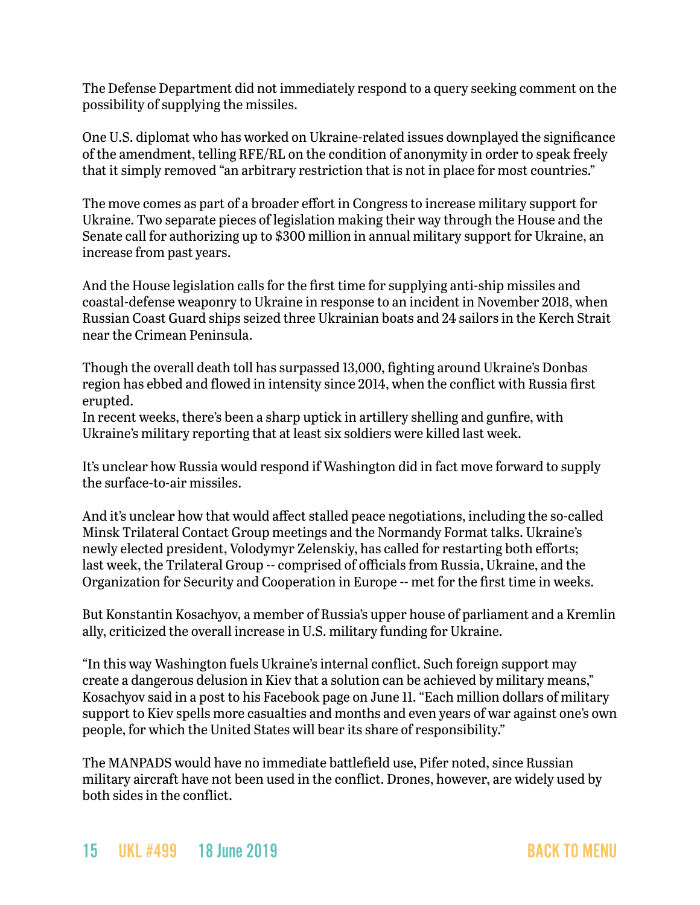The Defense Department did not immediately respond to a query seeking comment on the possibility of supplying the missiles.

One U.S. diplomat who has worked on Ukraine-related issues downplayed the significance of the amendment, telling RFE/RL on the condition of anonymity in order to speak freely that it simply removed "an arbitrary restriction that is not in place for most countries."

The move comes as part of a broader effort in Congress to increase military support for Ukraine. Two separate pieces of legislation making their way through the House and the Senate call for authorizing up to \$300 million in annual military support for Ukraine, an increase from past years.

And the House legislation calls for the first time for supplying anti-ship missiles and coastal-defense weaponry to Ukraine in response to an incident in November 2018, when Russian Coast Guard ships seized three Ukrainian boats and 24 sailors in the Kerch Strait near the Crimean Peninsula.

Though the overall death toll has surpassed 13,000, fighting around Ukraine's Donbas region has ebbed and flowed in intensity since 2014, when the conflict with Russia first erupted.

In recent weeks, there's been a sharp uptick in artillery shelling and gunfire, with Ukraine's military reporting that at least six soldiers were killed last week.

It's unclear how Russia would respond if Washington did in fact move forward to supply the surface-to-air missiles.

And it's unclear how that would affect stalled peace negotiations, including the so-called Minsk Trilateral Contact Group meetings and the Normandy Format talks. Ukraine's newly elected president, Volodymyr Zelenskiy, has called for restarting both efforts; last week, the Trilateral Group -- comprised of officials from Russia, Ukraine, and the Organization for Security and Cooperation in Europe -- met for the first time in weeks.

But Konstantin Kosachyov, a member of Russia's upper house of parliament and a Kremlin ally, criticized the overall increase in U.S. military funding for Ukraine.

"In this way Washington fuels Ukraine's internal conflict. Such foreign support may create a dangerous delusion in Kiev that a solution can be achieved by military means," Kosachyov said in a post to his Facebook page on June 11. "Each million dollars of military support to Kiev spells more casualties and months and even years of war against one's own people, for which the United States will bear its share of responsibility."

The MANPADS would have no immediate battlefield use, Pifer noted, since Russian military aircraft have not been used in the conflict. Drones, however, are widely used by both sides in the conflict.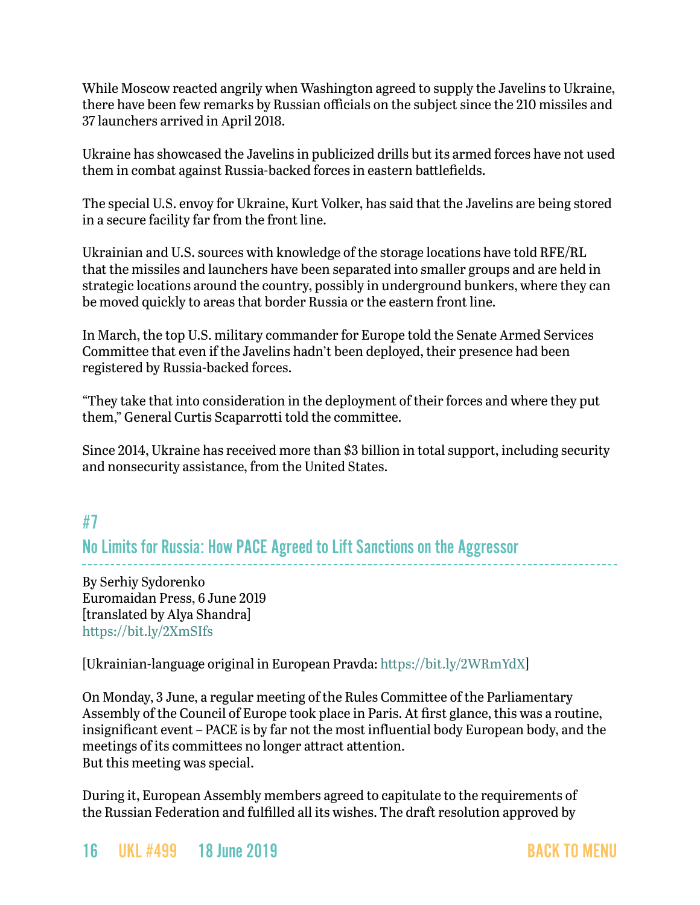While Moscow reacted angrily when Washington agreed to supply the Javelins to Ukraine, there have been few remarks by Russian officials on the subject since the 210 missiles and 37 launchers arrived in April 2018.

Ukraine has showcased the Javelins in publicized drills but its armed forces have not used them in combat against Russia-backed forces in eastern battlefields.

The special U.S. envoy for Ukraine, Kurt Volker, has said that the Javelins are being stored in a secure facility far from the front line.

Ukrainian and U.S. sources with knowledge of the storage locations have told RFE/RL that the missiles and launchers have been separated into smaller groups and are held in strategic locations around the country, possibly in underground bunkers, where they can be moved quickly to areas that border Russia or the eastern front line.

In March, the top U.S. military commander for Europe told the Senate Armed Services Committee that even if the Javelins hadn't been deployed, their presence had been registered by Russia-backed forces.

"They take that into consideration in the deployment of their forces and where they put them," General Curtis Scaparrotti [told the committee.](https://www.armed-services.senate.gov/hearings/18-03-08-united-states-european-command)

Since 2014, Ukraine has received more than \$3 billion in total support, including security and nonsecurity assistance, from the United States.

## <span id="page-15-0"></span>#7 No Limits for Russia: How PACE Agreed to Lift Sanctions on the Aggressor

By Serhiy Sydorenko Euromaidan Press, 6 June 2019 [translated by Alya Shandra] <https://bit.ly/2XmSIfs>

[Ukrainian-language original in European Pravda: [https://bit.ly/2WRmYdX\]](https://bit.ly/2WRmYdX)

On Monday, 3 June, a regular meeting of the Rules Committee of the Parliamentary Assembly of the Council of Europe took place in Paris. At first glance, this was a routine, insignificant event – PACE is by far not the most influential body European body, and the meetings of its committees no longer attract attention. But this meeting was special.

During it, European Assembly members agreed to capitulate to the requirements of the Russian Federation and fulfilled all its wishes. The draft resolution approved by

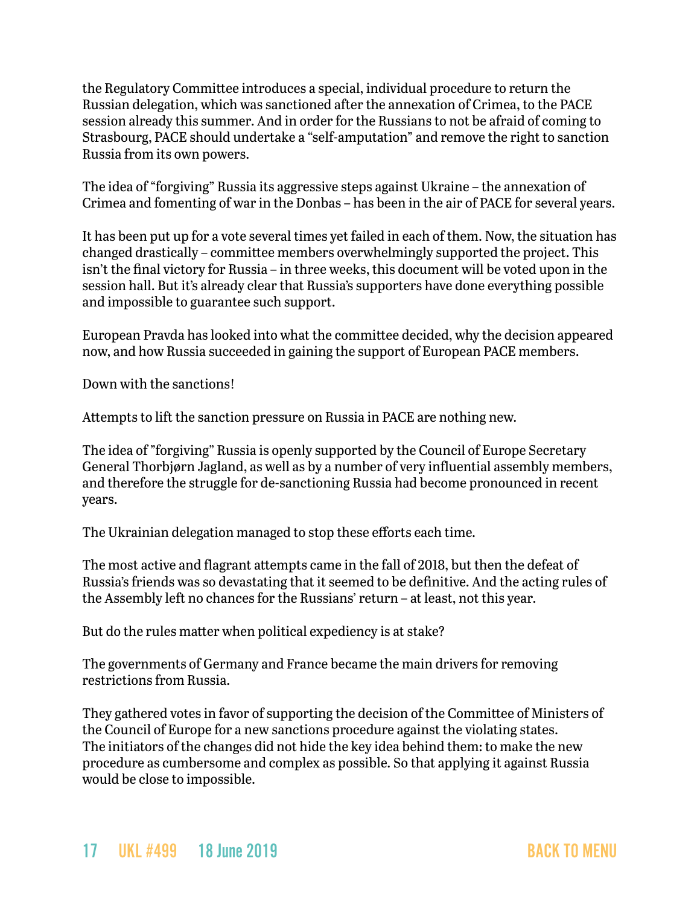the Regulatory Committee introduces a special, individual procedure to return the Russian delegation, which was sanctioned after the annexation of Crimea, to the PACE session already this summer. And in order for the Russians to not be afraid of coming to Strasbourg, PACE should undertake a "self-amputation" and remove the right to sanction Russia from its own powers.

The idea of "forgiving" Russia its aggressive steps against Ukraine – the annexation of Crimea and fomenting of war in the Donbas – has been in the air of PACE for several years.

It has been put up for a vote several times yet failed in each of them. Now, the situation has changed drastically – committee members overwhelmingly supported the project. This isn't the final victory for Russia – in three weeks, this document will be voted upon in the session hall. But it's already clear that Russia's supporters have done everything possible and impossible to guarantee such support.

European Pravda has looked into what the committee decided, why the decision appeared now, and how Russia succeeded in gaining the support of European PACE members.

Down with the sanctions!

Attempts to lift the sanction pressure on Russia in PACE are nothing new.

The idea of "forgiving" Russia is openly supported by the Council of Europe Secretary General Thorbjørn Jagland, as well as by a number of very influential assembly members, and therefore the struggle for de-sanctioning Russia had become pronounced in recent years.

The Ukrainian delegation managed to stop these efforts each time.

The most active and flagrant attempts came in the fall of 2018, but then the defeat of Russia's friends was so devastating that it seemed to be definitive. And the acting rules of the Assembly left no chances for the Russians' return – at least, not this year.

But do the rules matter when political expediency is at stake?

The governments of Germany and France became the main drivers for removing restrictions from Russia.

They gathered votes in favor of supporting the decision of the Committee of Ministers of the Council of Europe for a new sanctions procedure against the violating states. The initiators of the changes did not hide the key idea behind them: to make the new procedure as cumbersome and complex as possible. So that applying it against Russia would be close to impossible.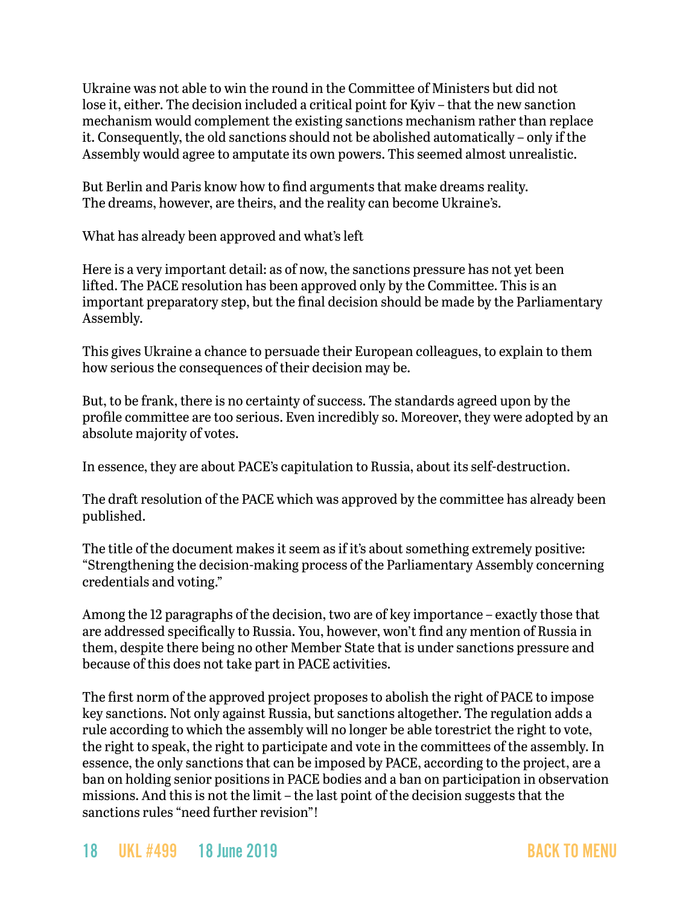Ukraine was not able to win the round in the Committee of Ministers but did not lose it, either. The decision included a critical point for Kyiv – that the new sanction mechanism would complement the existing sanctions mechanism rather than replace it. Consequently, the old sanctions should not be abolished automatically – only if the Assembly would agree to amputate its own powers. This seemed almost unrealistic.

But Berlin and Paris know how to find arguments that make dreams reality. The dreams, however, are theirs, and the reality can become Ukraine's.

What has already been approved and what's left

Here is a very important detail: as of now, the sanctions pressure has not yet been lifted. The PACE resolution has been approved only by the Committee. This is an important preparatory step, but the final decision should be made by the Parliamentary Assembly.

This gives Ukraine a chance to persuade their European colleagues, to explain to them how serious the consequences of their decision may be.

But, to be frank, there is no certainty of success. The standards agreed upon by the profile committee are too serious. Even incredibly so. Moreover, they were adopted by an absolute majority of votes.

In essence, they are about PACE's capitulation to Russia, about its self-destruction.

The draft resolution of the PACE which was approved by the committee has already been published.

The title of the document makes it seem as if it's about something extremely positive: "Strengthening the decision-making process of the Parliamentary Assembly concerning credentials and voting."

Among the 12 paragraphs of the decision, two are of key importance – exactly those that are addressed specifically to Russia. You, however, won't find any mention of Russia in them, despite there being no other Member State that is under sanctions pressure and because of this does not take part in PACE activities.

The first norm of the approved project proposes to abolish the right of PACE to impose key sanctions. Not only against Russia, but sanctions altogether. The regulation adds a rule according to which the assembly will no longer be able torestrict the right to vote, the right to speak, the right to participate and vote in the committees of the assembly. In essence, the only sanctions that can be imposed by PACE, according to the project, are a ban on holding senior positions in PACE bodies and a ban on participation in observation missions. And this is not the limit – the last point of the decision suggests that the sanctions rules "need further revision"!

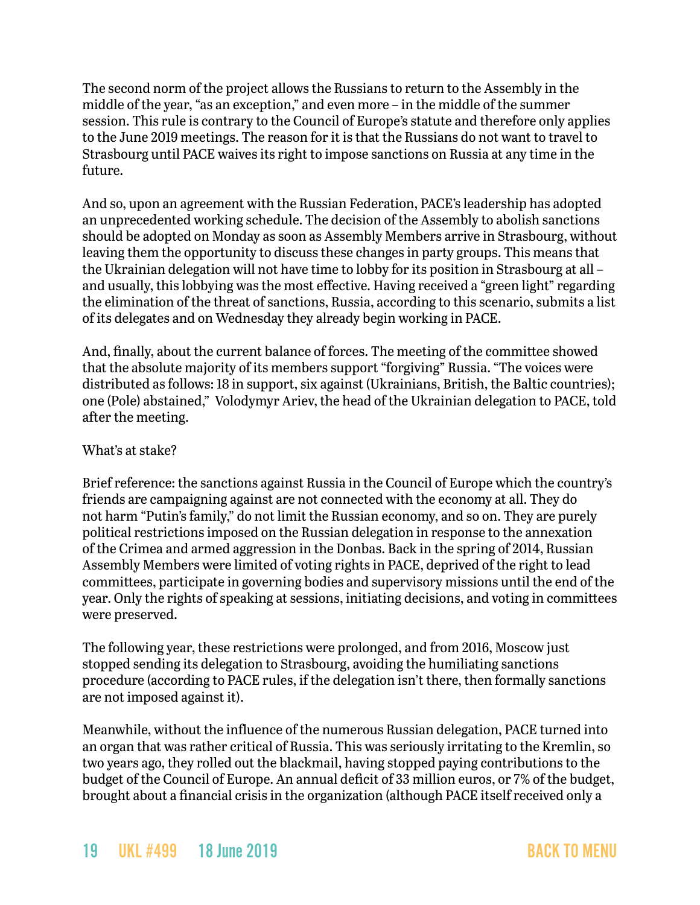The second norm of the project allows the Russians to return to the Assembly in the middle of the year, "as an exception," and even more – in the middle of the summer session. This rule is contrary to the Council of Europe's statute and therefore only applies to the June 2019 meetings. The reason for it is that the Russians do not want to travel to Strasbourg until PACE waives its right to impose sanctions on Russia at any time in the future.

And so, upon an agreement with the Russian Federation, PACE's leadership has adopted an unprecedented working schedule. The decision of the Assembly to abolish sanctions should be adopted on Monday as soon as Assembly Members arrive in Strasbourg, without leaving them the opportunity to discuss these changes in party groups. This means that the Ukrainian delegation will not have time to lobby for its position in Strasbourg at all – and usually, this lobbying was the most effective. Having received a "green light" regarding the elimination of the threat of sanctions, Russia, according to this scenario, submits a list of its delegates and on Wednesday they already begin working in PACE.

And, finally, about the current balance of forces. The meeting of the committee showed that the absolute majority of its members support "forgiving" Russia. "The voices were distributed as follows: 18 in support, six against (Ukrainians, British, the Baltic countries); one (Pole) abstained," Volodymyr Ariev, the head of the Ukrainian delegation to PACE, told after the meeting.

### What's at stake?

Brief reference: the sanctions against Russia in the Council of Europe which the country's friends are campaigning against are not connected with the economy at all. They do not harm "Putin's family," do not limit the Russian economy, and so on. They are purely political restrictions imposed on the Russian delegation in response to the annexation of the Crimea and armed aggression in the Donbas. Back in the spring of 2014, Russian Assembly Members were limited of voting rights in PACE, deprived of the right to lead committees, participate in governing bodies and supervisory missions until the end of the year. Only the rights of speaking at sessions, initiating decisions, and voting in committees were preserved.

The following year, these restrictions were prolonged, and from 2016, Moscow just stopped sending its delegation to Strasbourg, avoiding the humiliating sanctions procedure (according to PACE rules, if the delegation isn't there, then formally sanctions are not imposed against it).

Meanwhile, without the influence of the numerous Russian delegation, PACE turned into an organ that was rather critical of Russia. This was seriously irritating to the Kremlin, so two years ago, they rolled out the blackmail, having stopped paying contributions to the budget of the Council of Europe. An annual deficit of 33 million euros, or 7% of the budget, brought about a financial crisis in the organization (although PACE itself received only a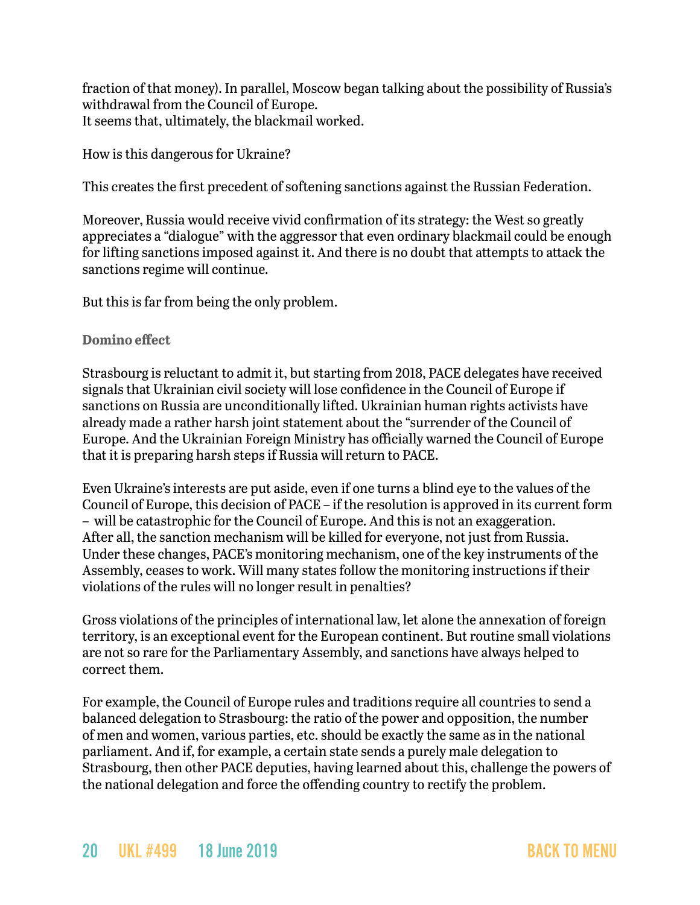fraction of that money). In parallel, Moscow began talking about the possibility of Russia's withdrawal from the Council of Europe. It seems that, ultimately, the blackmail worked.

How is this dangerous for Ukraine?

This creates the first precedent of softening sanctions against the Russian Federation.

Moreover, Russia would receive vivid confirmation of its strategy: the West so greatly appreciates a "dialogue" with the aggressor that even ordinary blackmail could be enough for lifting sanctions imposed against it. And there is no doubt that attempts to attack the sanctions regime will continue.

But this is far from being the only problem.

**Domino effect**

Strasbourg is reluctant to admit it, but starting from 2018, PACE delegates have received signals that Ukrainian civil society will lose confidence in the Council of Europe if sanctions on Russia are unconditionally lifted. Ukrainian human rights activists have already made a rather harsh joint statement about the "surrender of the Council of Europe. And the Ukrainian Foreign Ministry has officially warned the Council of Europe that it is preparing harsh steps if Russia will return to PACE.

Even Ukraine's interests are put aside, even if one turns a blind eye to the values of the Council of Europe, this decision of PACE – if the resolution is approved in its current form – will be catastrophic for the Council of Europe. And this is not an exaggeration. After all, the sanction mechanism will be killed for everyone, not just from Russia. Under these changes, PACE's monitoring mechanism, one of the key instruments of the Assembly, ceases to work. Will many states follow the monitoring instructions if their violations of the rules will no longer result in penalties?

Gross violations of the principles of international law, let alone the annexation of foreign territory, is an exceptional event for the European continent. But routine small violations are not so rare for the Parliamentary Assembly, and sanctions have always helped to correct them.

For example, the Council of Europe rules and traditions require all countries to send a balanced delegation to Strasbourg: the ratio of the power and opposition, the number of men and women, various parties, etc. should be exactly the same as in the national parliament. And if, for example, a certain state sends a purely male delegation to Strasbourg, then other PACE deputies, having learned about this, challenge the powers of the national delegation and force the offending country to rectify the problem.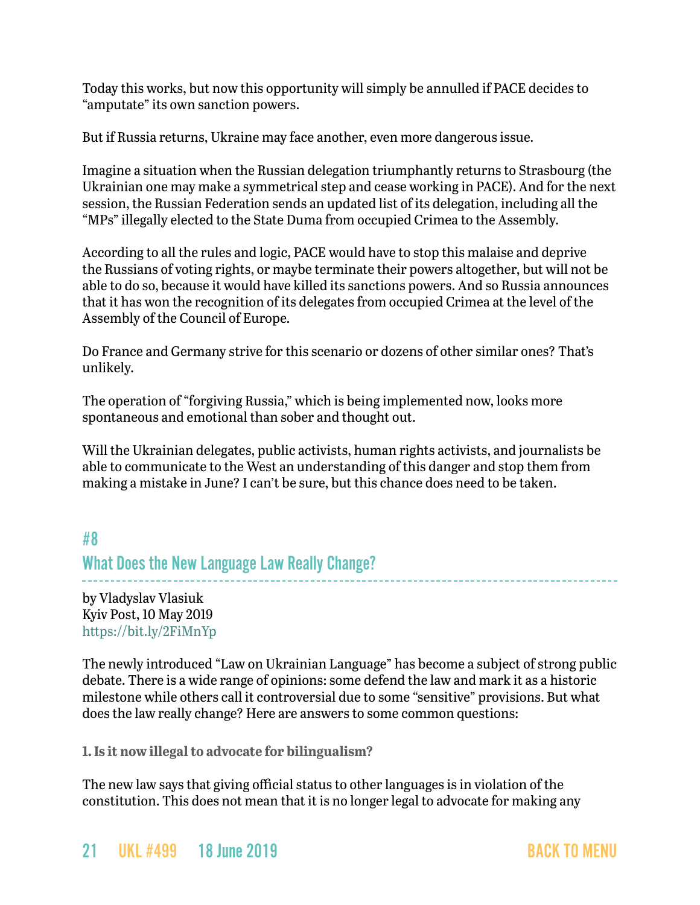Today this works, but now this opportunity will simply be annulled if PACE decides to "amputate" its own sanction powers.

But if Russia returns, Ukraine may face another, even more dangerous issue.

Imagine a situation when the Russian delegation triumphantly returns to Strasbourg (the Ukrainian one may make a symmetrical step and cease working in PACE). And for the next session, the Russian Federation sends an updated list of its delegation, including all the "MPs" illegally elected to the State Duma from occupied Crimea to the Assembly.

According to all the rules and logic, PACE would have to stop this malaise and deprive the Russians of voting rights, or maybe terminate their powers altogether, but will not be able to do so, because it would have killed its sanctions powers. And so Russia announces that it has won the recognition of its delegates from occupied Crimea at the level of the Assembly of the Council of Europe.

Do France and Germany strive for this scenario or dozens of other similar ones? That's unlikely.

The operation of "forgiving Russia," which is being implemented now, looks more spontaneous and emotional than sober and thought out.

Will the Ukrainian delegates, public activists, human rights activists, and journalists be able to communicate to the West an understanding of this danger and stop them from making a mistake in June? I can't be sure, but this chance does need to be taken.

<span id="page-20-0"></span>#8 What Does the New Language Law Really Change?

by Vladyslav Vlasiuk Kyiv Post, 10 May 2019 <https://bit.ly/2FiMnYp>

The newly introduced "Law on Ukrainian Language" has become a subject of strong public debate. There is a wide range of opinions: some defend the law and mark it as a historic milestone while others call it controversial due to some "sensitive" provisions. But what does the law really change? Here are answers to some common questions:

**1. Is it now illegal to advocate for bilingualism?**

The new law says that giving official status to other languages is in violation of the constitution. This does not mean that it is no longer legal to advocate for making any

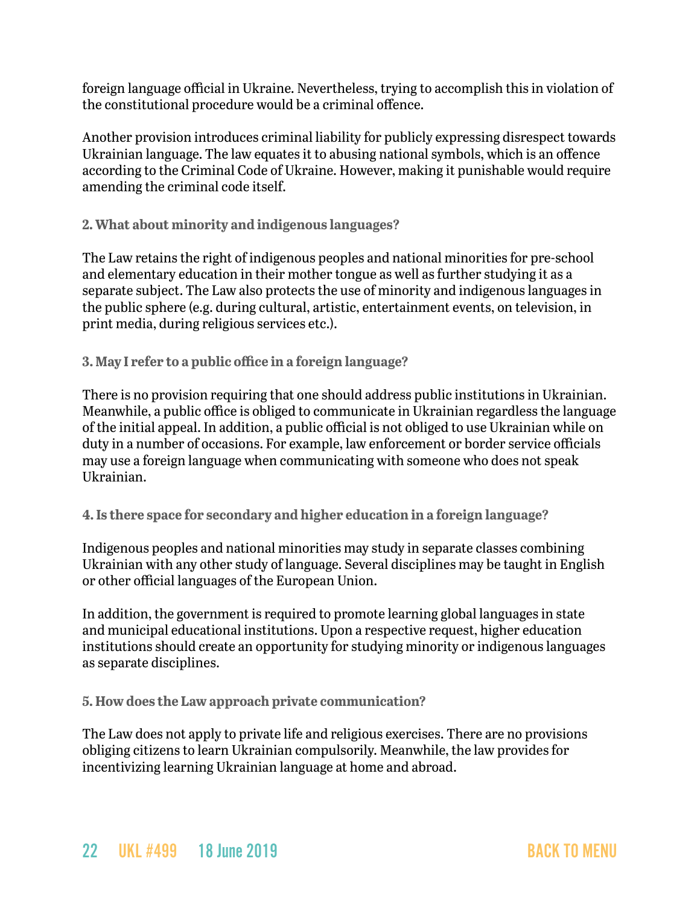foreign language official in Ukraine. Nevertheless, trying to accomplish this in violation of the constitutional procedure would be a criminal offence.

Another provision introduces criminal liability for publicly expressing disrespect towards Ukrainian language. The law equates it to abusing national symbols, which is an offence according to the Criminal Code of Ukraine. However, making it punishable would require amending the criminal code itself.

**2. What about minority and indigenous languages?**

The Law retains the right of indigenous peoples and national minorities for pre-school and elementary education in their mother tongue as well as further studying it as a separate subject. The Law also protects the use of minority and indigenous languages in the public sphere (e.g. during cultural, artistic, entertainment events, on television, in print media, during religious services etc.).

**3. May I refer to a public office in a foreign language?**

There is no provision requiring that one should address public institutions in Ukrainian. Meanwhile, a public office is obliged to communicate in Ukrainian regardless the language of the initial appeal. In addition, a public official is not obliged to use Ukrainian while on duty in a number of occasions. For example, law enforcement or border service officials may use a foreign language when communicating with someone who does not speak Ukrainian.

**4. Is there space for secondary and higher education in a foreign language?**

Indigenous peoples and national minorities may study in separate classes combining Ukrainian with any other study of language. Several disciplines may be taught in English or other official languages of the European Union.

In addition, the government is required to promote learning global languages in state and municipal educational institutions. Upon a respective request, higher education institutions should create an opportunity for studying minority or indigenous languages as separate disciplines.

**5. How does the Law approach private communication?**

The Law does not apply to private life and religious exercises. There are no provisions obliging citizens to learn Ukrainian compulsorily. Meanwhile, the law provides for incentivizing learning Ukrainian language at home and abroad.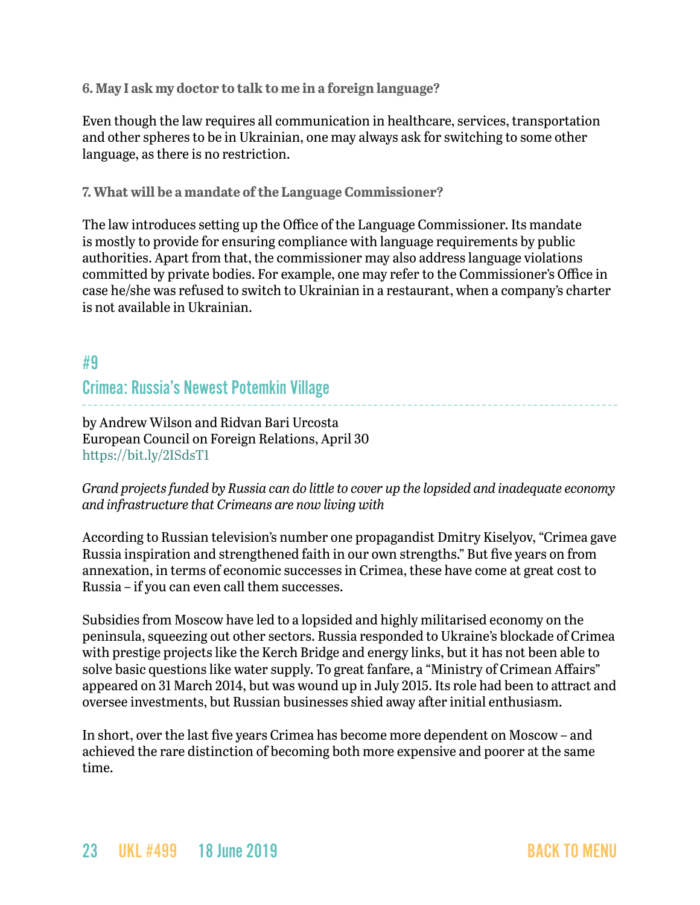**6. May I ask my doctor to talk to me in a foreign language?**

Even though the law requires all communication in healthcare, services, transportation and other spheres to be in Ukrainian, one may always ask for switching to some other language, as there is no restriction.

**7. What will be a mandate of the Language Commissioner?**

The law introduces setting up the Office of the Language Commissioner. Its mandate is mostly to provide for ensuring compliance with language requirements by public authorities. Apart from that, the commissioner may also address language violations committed by private bodies. For example, one may refer to the Commissioner's Office in case he/she was refused to switch to Ukrainian in a restaurant, when a company's charter is not available in Ukrainian.

## #9

### Crimea: Russia's Newest Potemkin Village

by Andrew Wilson and Ridvan Bari Urcosta European Council on Foreign Relations, April 30 <https://bit.ly/2ISdsT1>

*Grand projects funded by Russia can do little to cover up the lopsided and inadequate economy and infrastructure that Crimeans are now living with*

According to Russian television's number one propagandist Dmitry Kiselyov, "Crimea gave Russia inspiration and strengthened faith in our own strengths." But five years on from annexation, in terms of economic successes in Crimea, these have come at great cost to Russia – if you can even call them successes.

Subsidies from Moscow have led to a lopsided and highly militarised economy on the peninsula, squeezing out other sectors. Russia responded to Ukraine's blockade of Crimea with prestige projects like the Kerch Bridge and energy links, but it has not been able to solve basic questions like water supply. To great fanfare, a "Ministry of Crimean Affairs" appeared on 31 March 2014, but was wound up in July 2015. Its role had been to attract and oversee investments, but Russian businesses shied away after initial enthusiasm.

In short, over the last five years Crimea has become more dependent on Moscow – and achieved the rare distinction of becoming both more expensive and poorer at the same time.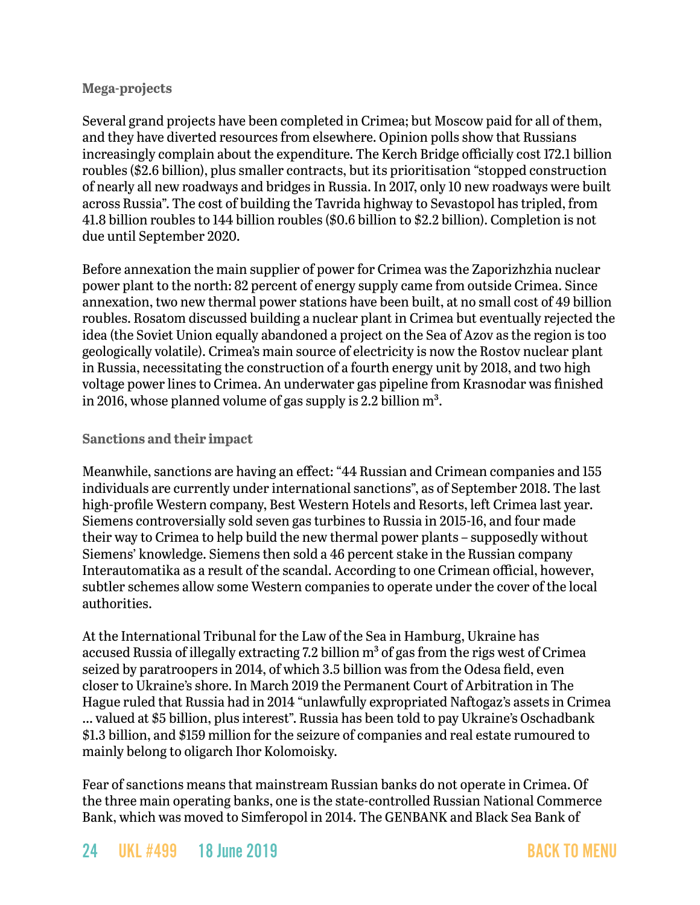### **Mega-projects**

Several grand projects have been completed in Crimea; but Moscow paid for all of them, and they have diverted resources from elsewhere. Opinion polls show that Russians increasingly complain about the expenditure. The Kerch Bridge officially cost 172.1 billion roubles (\$2.6 billion), plus smaller contracts, but its prioritisation "stopped construction of nearly all new roadways and bridges in Russia. In 2017, only 10 new roadways were built across Russia". The cost of building the Tavrida highway to Sevastopol has tripled, from 41.8 billion roubles to 144 billion roubles (\$0.6 billion to \$2.2 billion). Completion is not due until September 2020.

Before annexation the main supplier of power for Crimea was the Zaporizhzhia nuclear power plant to the north: 82 percent of energy supply came from outside Crimea. Since annexation, two new thermal power stations have been built, at no small cost of 49 billion roubles. Rosatom discussed building a nuclear plant in Crimea but eventually rejected the idea (the Soviet Union equally abandoned a project on the Sea of Azov as the region is too geologically volatile). Crimea's main source of electricity is now the Rostov nuclear plant in Russia, necessitating the construction of a fourth energy unit by 2018, and two high voltage power lines to Crimea. An underwater gas pipeline from Krasnodar was finished in 2016, whose planned volume of gas supply is 2.2 billion  $m^3$ .

### **Sanctions and their impact**

Meanwhile, sanctions are having an effect: "44 Russian and Crimean companies and 155 individuals are currently under international sanctions", as of September 2018. The last high-profile Western company, Best Western Hotels and Resorts, left Crimea last year. Siemens controversially sold seven gas turbines to Russia in 2015-16, and four made their way to Crimea to help build the new thermal power plants – supposedly without Siemens' knowledge. Siemens then sold a 46 percent stake in the Russian company Interautomatika as a result of the scandal. According to one Crimean official, however, subtler schemes allow some Western companies to operate under the cover of the local authorities.

At the International Tribunal for the Law of the Sea in Hamburg, Ukraine has accused Russia of illegally extracting 7.2 billion  $m<sup>3</sup>$  of gas from the rigs west of Crimea seized by paratroopers in 2014, of which 3.5 billion was from the Odesa field, even closer to Ukraine's shore. In March 2019 the Permanent Court of Arbitration in The Hague ruled that Russia had in 2014 "unlawfully expropriated Naftogaz's assets in Crimea … valued at \$5 billion, plus interest". Russia has been told to pay Ukraine's Oschadbank \$1.3 billion, and \$159 million for the seizure of companies and real estate rumoured to mainly belong to oligarch Ihor Kolomoisky.

Fear of sanctions means that mainstream Russian banks do not operate in Crimea. Of the three main operating banks, one is the state-controlled Russian National Commerce Bank, which was moved to Simferopol in 2014. The GENBANK and Black Sea Bank of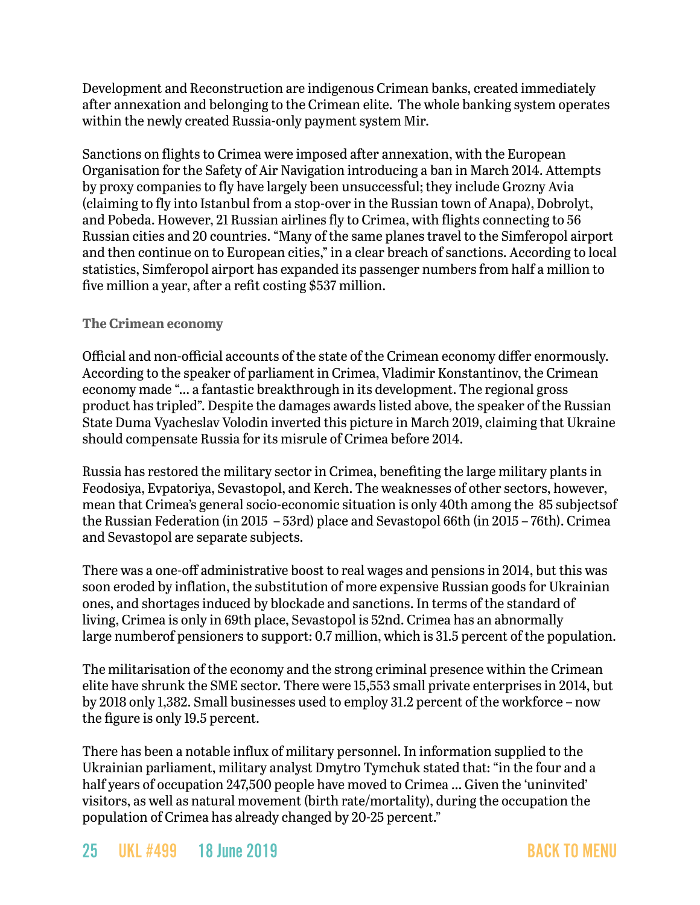Development and Reconstruction are indigenous Crimean banks, created immediately after annexation and belonging to the Crimean elite. The whole banking system operates within the newly created Russia-only payment system Mir.

Sanctions on flights to Crimea were imposed after annexation, with the European Organisation for the Safety of Air Navigation introducing a ban in March 2014. Attempts by proxy companies to fly have largely been unsuccessful; they include Grozny Avia (claiming to fly into Istanbul from a stop-over in the Russian town of Anapa), Dobrolyt, and Pobeda. However, 21 Russian airlines fly to Crimea, with flights connecting to 56 Russian cities and 20 countries. "Many of the same planes travel to the Simferopol airport and then continue on to European cities," in a clear breach of sanctions. According to local statistics, Simferopol airport has expanded its passenger numbers from half a million to five million a year, after a refit costing \$537 million.

### **The Crimean economy**

Official and non-official accounts of the state of the Crimean economy differ enormously. According to the speaker of parliament in Crimea, Vladimir Konstantinov, the Crimean economy made "… a fantastic breakthrough in its development. The regional gross product has tripled". Despite the damages awards listed above, the speaker of the Russian State Duma Vyacheslav Volodin inverted this picture in March 2019, claiming that Ukraine should compensate Russia for its misrule of Crimea before 2014.

Russia has restored the military sector in Crimea, benefiting the large military plants in Feodosiya, Evpatoriya, Sevastopol, and Kerch. The weaknesses of other sectors, however, mean that Crimea's general socio-economic situation is only 40th among the 85 subjectsof the Russian Federation (in 2015 – 53rd) place and Sevastopol 66th (in 2015 – 76th). Crimea and Sevastopol are separate subjects.

There was a one-off administrative boost to real wages and pensions in 2014, but this was soon eroded by inflation, the substitution of more expensive Russian goods for Ukrainian ones, and shortages induced by blockade and sanctions. In terms of the standard of living, Crimea is only in 69th place, Sevastopol is 52nd. Crimea has an abnormally large numberof pensioners to support: 0.7 million, which is 31.5 percent of the population.

The militarisation of the economy and the strong criminal presence within the Crimean elite have shrunk the SME sector. There were 15,553 small private enterprises in 2014, but by 2018 only 1,382. Small businesses used to employ 31.2 percent of the workforce – now the figure is only 19.5 percent.

There has been a notable influx of military personnel. In information supplied to the Ukrainian parliament, military analyst Dmytro Tymchuk stated that: "in the four and a half years of occupation 247,500 people have moved to Crimea … Given the 'uninvited' visitors, as well as natural movement (birth rate/mortality), during the occupation the population of Crimea has already changed by 20-25 percent."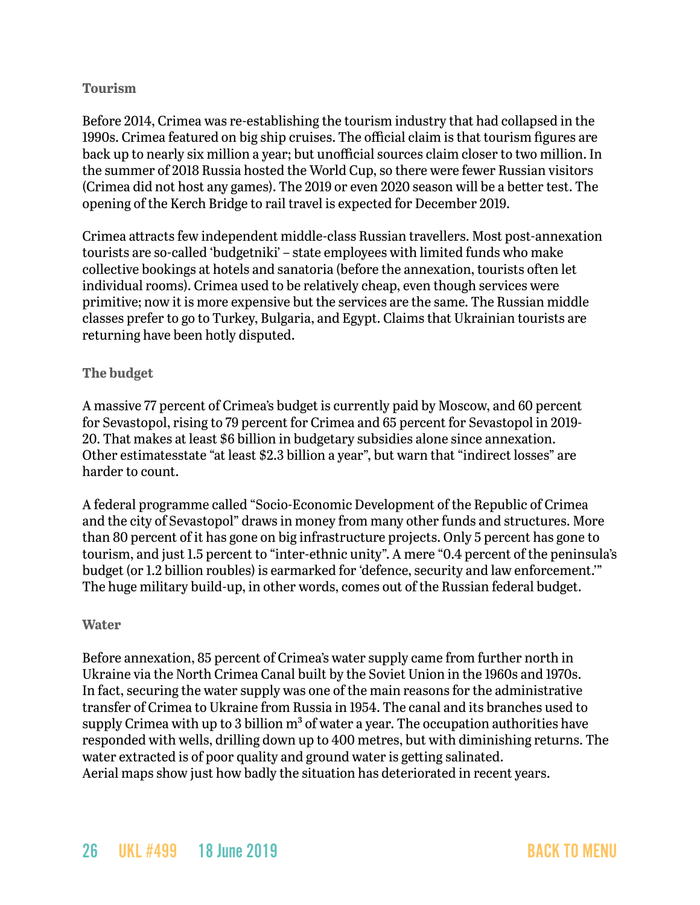### **Tourism**

Before 2014, Crimea was re-establishing the tourism industry that had collapsed in the 1990s. Crimea featured on big ship cruises. The official claim is that tourism figures are back up to nearly six million a year; but unofficial sources claim closer to two million. In the summer of 2018 Russia hosted the World Cup, so there were fewer Russian visitors (Crimea did not host any games). The 2019 or even 2020 season will be a better test. The opening of the Kerch Bridge to rail travel is expected for December 2019.

Crimea attracts few independent middle-class Russian travellers. Most post-annexation tourists are so-called 'budgetniki' – state employees with limited funds who make collective bookings at hotels and sanatoria (before the annexation, tourists often let individual rooms). Crimea used to be relatively cheap, even though services were primitive; now it is more expensive but the services are the same. The Russian middle classes prefer to go to Turkey, Bulgaria, and Egypt. Claims that Ukrainian tourists are returning have been hotly disputed.

### **The budget**

A massive 77 percent of Crimea's budget is currently paid by Moscow, and 60 percent for Sevastopol, rising to 79 percent for Crimea and 65 percent for Sevastopol in 2019- 20. That makes at least \$6 billion in budgetary subsidies alone since annexation. Other estimatesstate "at least \$2.3 billion a year", but warn that "indirect losses" are harder to count.

A federal programme called "Socio-Economic Development of the Republic of Crimea and the city of Sevastopol" draws in money from many other funds and structures. More than 80 percent of it has gone on big infrastructure projects. Only 5 percent has gone to tourism, and just 1.5 percent to "inter-ethnic unity". A mere "0.4 percent of the peninsula's budget (or 1.2 billion roubles) is earmarked for 'defence, security and law enforcement.'" The huge military build-up, in other words, comes out of the Russian federal budget.

### **Water**

Before annexation, 85 percent of Crimea's water supply came from further north in Ukraine via the North Crimea Canal built by the Soviet Union in the 1960s and 1970s. In fact, securing the water supply was one of the main reasons for the administrative transfer of Crimea to Ukraine from Russia in 1954. The canal and its branches used to supply Crimea with up to 3 billion  $m<sup>3</sup>$  of water a year. The occupation authorities have responded with wells, drilling down up to 400 metres, but with diminishing returns. The water extracted is of poor quality and ground water is getting salinated. Aerial maps show just how badly the situation has deteriorated in recent years.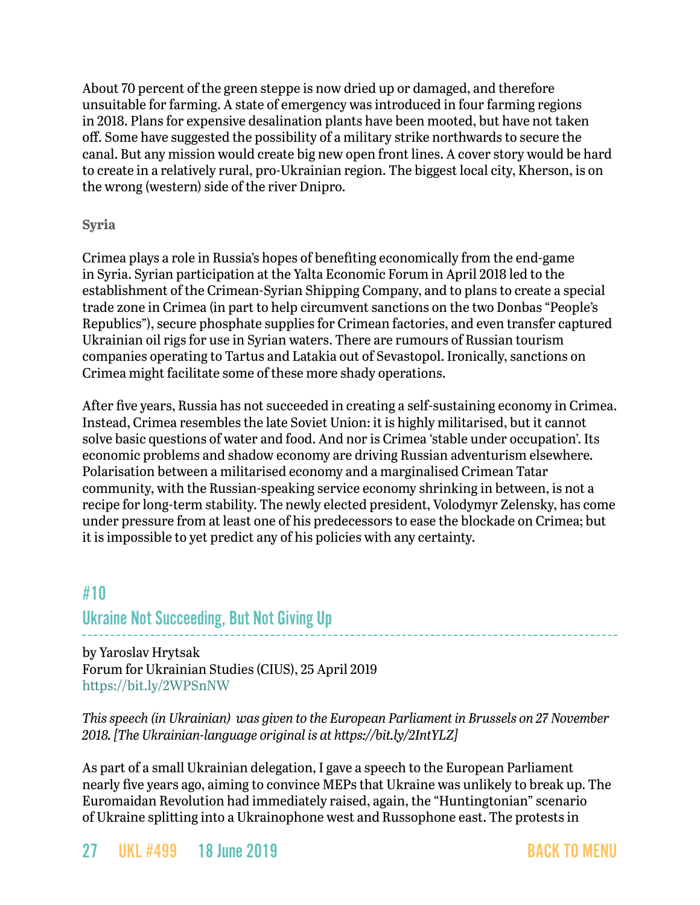About 70 percent of the green steppe is now dried up or damaged, and therefore unsuitable for farming. A state of emergency was introduced in four farming regions in 2018. Plans for expensive desalination plants have been mooted, but have not taken off. Some have suggested the possibility of a military strike northwards to secure the canal. But any mission would create big new open front lines. A cover story would be hard to create in a relatively rural, pro-Ukrainian region. The biggest local city, Kherson, is on the wrong (western) side of the river Dnipro.

### **Syria**

Crimea plays a role in Russia's hopes of benefiting economically from the end-game in Syria. Syrian participation at the Yalta Economic Forum in April 2018 led to the establishment of the Crimean-Syrian Shipping Company, and to plans to create a special trade zone in Crimea (in part to help circumvent sanctions on the two Donbas "People's Republics"), secure phosphate supplies for Crimean factories, and even transfer captured Ukrainian oil rigs for use in Syrian waters. There are rumours of Russian tourism companies operating to Tartus and Latakia out of Sevastopol. Ironically, sanctions on Crimea might facilitate some of these more shady operations.

After five years, Russia has not succeeded in creating a self-sustaining economy in Crimea. Instead, Crimea resembles the late Soviet Union: it is highly militarised, but it cannot solve basic questions of water and food. And nor is Crimea 'stable under occupation'. Its economic problems and shadow economy are driving Russian adventurism elsewhere. Polarisation between a militarised economy and a marginalised Crimean Tatar community, with the Russian-speaking service economy shrinking in between, is not a recipe for long-term stability. The newly elected president, Volodymyr Zelensky, has come under pressure from at least one of his predecessors to ease the blockade on Crimea; but it is impossible to yet predict any of his policies with any certainty.

## <span id="page-26-0"></span>#10 Ukraine Not Succeeding, But Not Giving Up

by Yaroslav Hrytsak Forum for Ukrainian Studies (CIUS), 25 April 2019 <https://bit.ly/2WPSnNW>

*This speech (in Ukrainian) was given to the European Parliament in Brussels on 27 November 2018. [The Ukrainian-language original is at <https://bit.ly/2IntYLZ>]*

As part of a small Ukrainian delegation, I gave a speech to the European Parliament nearly five years ago, aiming to convince MEPs that Ukraine was unlikely to break up. The Euromaidan Revolution had immediately raised, again, the "Huntingtonian" scenario of Ukraine splitting into a Ukrainophone west and Russophone east. The protests in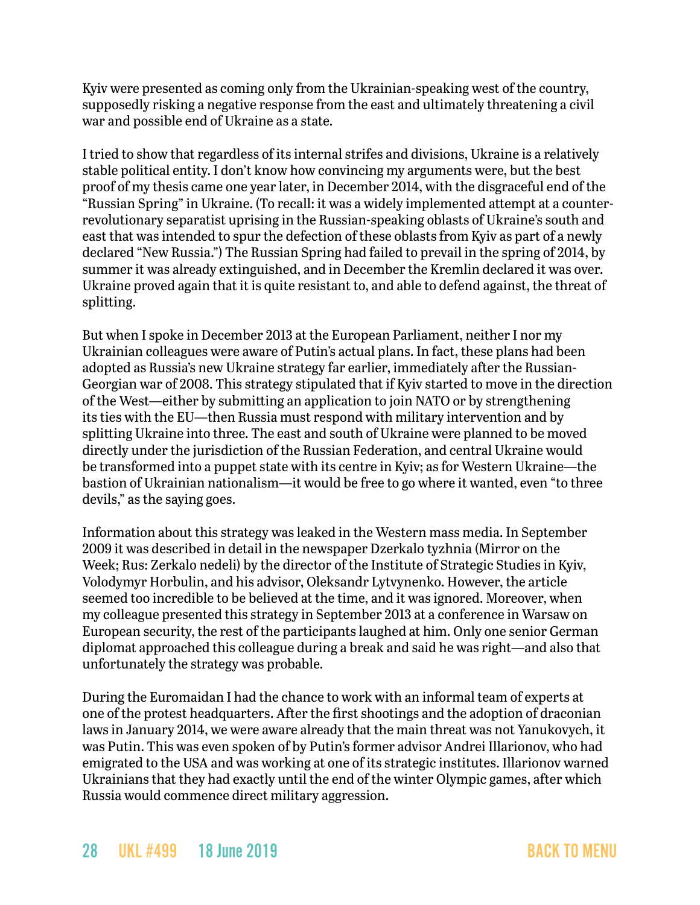Kyiv were presented as coming only from the Ukrainian-speaking west of the country, supposedly risking a negative response from the east and ultimately threatening a civil war and possible end of Ukraine as a state.

I tried to show that regardless of its internal strifes and divisions, Ukraine is a relatively stable political entity. I don't know how convincing my arguments were, but the best proof of my thesis came one year later, in December 2014, with the disgraceful end of the "Russian Spring" in Ukraine. (To recall: it was a widely implemented attempt at a counterrevolutionary separatist uprising in the Russian-speaking oblasts of Ukraine's south and east that was intended to spur the defection of these oblasts from Kyiv as part of a newly declared "New Russia.") The Russian Spring had failed to prevail in the spring of 2014, by summer it was already extinguished, and in December the Kremlin declared it was over. Ukraine proved again that it is quite resistant to, and able to defend against, the threat of splitting.

But when I spoke in December 2013 at the European Parliament, neither I nor my Ukrainian colleagues were aware of Putin's actual plans. In fact, these plans had been adopted as Russia's new Ukraine strategy far earlier, immediately after the Russian-Georgian war of 2008. This strategy stipulated that if Kyiv started to move in the direction of the West—either by submitting an application to join NATO or by strengthening its ties with the EU—then Russia must respond with military intervention and by splitting Ukraine into three. The east and south of Ukraine were planned to be moved directly under the jurisdiction of the Russian Federation, and central Ukraine would be transformed into a puppet state with its centre in Kyiv; as for Western Ukraine—the bastion of Ukrainian nationalism—it would be free to go where it wanted, even "to three devils," as the saying goes.

Information about this strategy was leaked in the Western mass media. In September 2009 it was described in detail in the newspaper Dzerkalo tyzhnia (Mirror on the Week; Rus: Zerkalo nedeli) by the director of the Institute of Strategic Studies in Kyiv, Volodymyr Horbulin, and his advisor, Oleksandr Lytvynenko. However, the article seemed too incredible to be believed at the time, and it was ignored. Moreover, when my colleague presented this strategy in September 2013 at a conference in Warsaw on European security, the rest of the participants laughed at him. Only one senior German diplomat approached this colleague during a break and said he was right—and also that unfortunately the strategy was probable.

During the Euromaidan I had the chance to work with an informal team of experts at one of the protest headquarters. After the first shootings and the adoption of draconian laws in January 2014, we were aware already that the main threat was not Yanukovych, it was Putin. This was even spoken of by Putin's former advisor Andrei Illarionov, who had emigrated to the USA and was working at one of its strategic institutes. Illarionov warned Ukrainians that they had exactly until the end of the winter Olympic games, after which Russia would commence direct military aggression.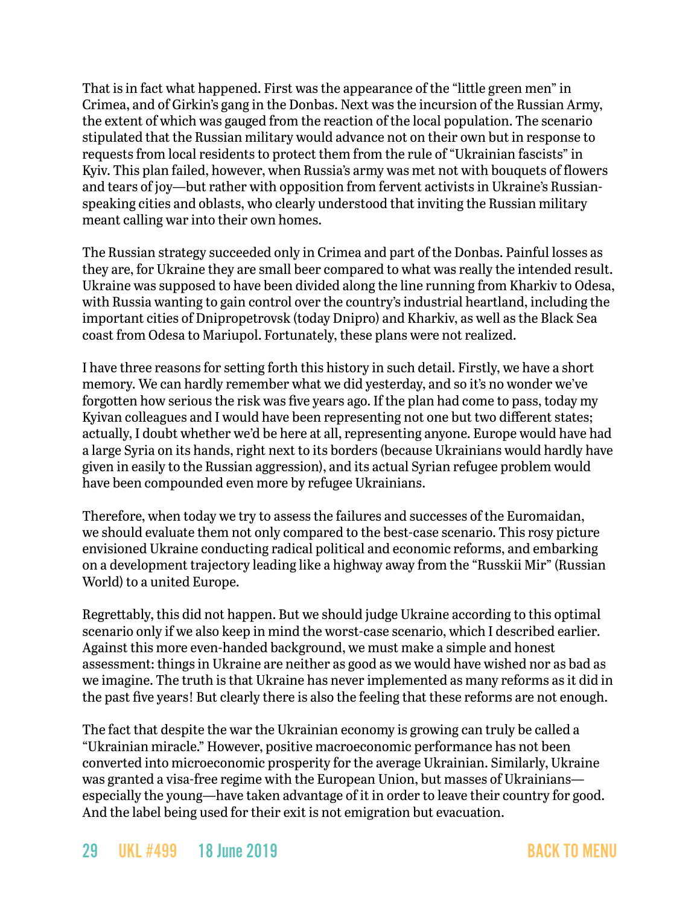That is in fact what happened. First was the appearance of the "little green men" in Crimea, and of Girkin's gang in the Donbas. Next was the incursion of the Russian Army, the extent of which was gauged from the reaction of the local population. The scenario stipulated that the Russian military would advance not on their own but in response to requests from local residents to protect them from the rule of "Ukrainian fascists" in Kyiv. This plan failed, however, when Russia's army was met not with bouquets of flowers and tears of joy—but rather with opposition from fervent activists in Ukraine's Russianspeaking cities and oblasts, who clearly understood that inviting the Russian military meant calling war into their own homes.

The Russian strategy succeeded only in Crimea and part of the Donbas. Painful losses as they are, for Ukraine they are small beer compared to what was really the intended result. Ukraine was supposed to have been divided along the line running from Kharkiv to Odesa, with Russia wanting to gain control over the country's industrial heartland, including the important cities of Dnipropetrovsk (today Dnipro) and Kharkiv, as well as the Black Sea coast from Odesa to Mariupol. Fortunately, these plans were not realized.

I have three reasons for setting forth this history in such detail. Firstly, we have a short memory. We can hardly remember what we did yesterday, and so it's no wonder we've forgotten how serious the risk was five years ago. If the plan had come to pass, today my Kyivan colleagues and I would have been representing not one but two different states; actually, I doubt whether we'd be here at all, representing anyone. Europe would have had a large Syria on its hands, right next to its borders (because Ukrainians would hardly have given in easily to the Russian aggression), and its actual Syrian refugee problem would have been compounded even more by refugee Ukrainians.

Therefore, when today we try to assess the failures and successes of the Euromaidan, we should evaluate them not only compared to the best-case scenario. This rosy picture envisioned Ukraine conducting radical political and economic reforms, and embarking on a development trajectory leading like a highway away from the "Russkii Mir" (Russian World) to a united Europe.

Regrettably, this did not happen. But we should judge Ukraine according to this optimal scenario only if we also keep in mind the worst-case scenario, which I described earlier. Against this more even-handed background, we must make a simple and honest assessment: things in Ukraine are neither as good as we would have wished nor as bad as we imagine. The truth is that Ukraine has never implemented as many reforms as it did in the past five years! But clearly there is also the feeling that these reforms are not enough.

The fact that despite the war the Ukrainian economy is growing can truly be called a "Ukrainian miracle." However, positive macroeconomic performance has not been converted into microeconomic prosperity for the average Ukrainian. Similarly, Ukraine was granted a visa-free regime with the European Union, but masses of Ukrainians especially the young—have taken advantage of it in order to leave their country for good. And the label being used for their exit is not emigration but evacuation.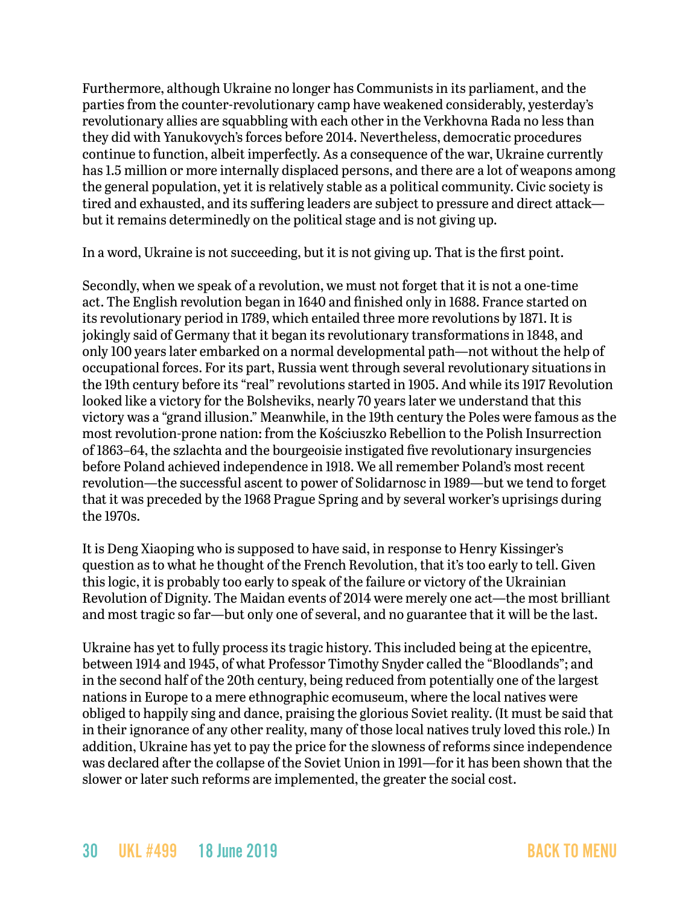Furthermore, although Ukraine no longer has Communists in its parliament, and the parties from the counter-revolutionary camp have weakened considerably, yesterday's revolutionary allies are squabbling with each other in the Verkhovna Rada no less than they did with Yanukovych's forces before 2014. Nevertheless, democratic procedures continue to function, albeit imperfectly. As a consequence of the war, Ukraine currently has 1.5 million or more internally displaced persons, and there are a lot of weapons among the general population, yet it is relatively stable as a political community. Civic society is tired and exhausted, and its suffering leaders are subject to pressure and direct attack but it remains determinedly on the political stage and is not giving up.

In a word, Ukraine is not succeeding, but it is not giving up. That is the first point.

Secondly, when we speak of a revolution, we must not forget that it is not a one-time act. The English revolution began in 1640 and finished only in 1688. France started on its revolutionary period in 1789, which entailed three more revolutions by 1871. It is jokingly said of Germany that it began its revolutionary transformations in 1848, and only 100 years later embarked on a normal developmental path—not without the help of occupational forces. For its part, Russia went through several revolutionary situations in the 19th century before its "real" revolutions started in 1905. And while its 1917 Revolution looked like a victory for the Bolsheviks, nearly 70 years later we understand that this victory was a "grand illusion." Meanwhile, in the 19th century the Poles were famous as the most revolution-prone nation: from the Kościuszko Rebellion to the Polish Insurrection of 1863–64, the szlachta and the bourgeoisie instigated five revolutionary insurgencies before Poland achieved independence in 1918. We all remember Poland's most recent revolution—the successful ascent to power of Solidarnosc in 1989—but we tend to forget that it was preceded by the 1968 Prague Spring and by several worker's uprisings during the 1970s.

It is Deng Xiaoping who is supposed to have said, in response to Henry Kissinger's question as to what he thought of the French Revolution, that it's too early to tell. Given this logic, it is probably too early to speak of the failure or victory of the Ukrainian Revolution of Dignity. The Maidan events of 2014 were merely one act—the most brilliant and most tragic so far—but only one of several, and no guarantee that it will be the last.

Ukraine has yet to fully process its tragic history. This included being at the epicentre, between 1914 and 1945, of what Professor Timothy Snyder called the "Bloodlands"; and in the second half of the 20th century, being reduced from potentially one of the largest nations in Europe to a mere ethnographic ecomuseum, where the local natives were obliged to happily sing and dance, praising the glorious Soviet reality. (It must be said that in their ignorance of any other reality, many of those local natives truly loved this role.) In addition, Ukraine has yet to pay the price for the slowness of reforms since independence was declared after the collapse of the Soviet Union in 1991—for it has been shown that the slower or later such reforms are implemented, the greater the social cost.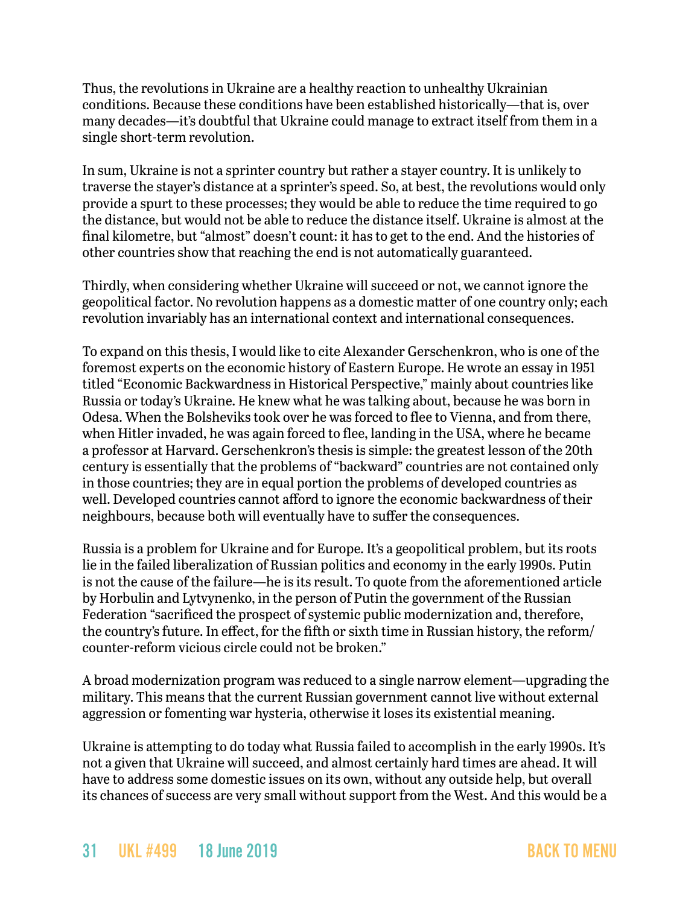Thus, the revolutions in Ukraine are a healthy reaction to unhealthy Ukrainian conditions. Because these conditions have been established historically—that is, over many decades—it's doubtful that Ukraine could manage to extract itself from them in a single short-term revolution.

In sum, Ukraine is not a sprinter country but rather a stayer country. It is unlikely to traverse the stayer's distance at a sprinter's speed. So, at best, the revolutions would only provide a spurt to these processes; they would be able to reduce the time required to go the distance, but would not be able to reduce the distance itself. Ukraine is almost at the final kilometre, but "almost" doesn't count: it has to get to the end. And the histories of other countries show that reaching the end is not automatically guaranteed.

Thirdly, when considering whether Ukraine will succeed or not, we cannot ignore the geopolitical factor. No revolution happens as a domestic matter of one country only; each revolution invariably has an international context and international consequences.

To expand on this thesis, I would like to cite Alexander Gerschenkron, who is one of the foremost experts on the economic history of Eastern Europe. He wrote an essay in 1951 titled "Economic Backwardness in Historical Perspective," mainly about countries like Russia or today's Ukraine. He knew what he was talking about, because he was born in Odesa. When the Bolsheviks took over he was forced to flee to Vienna, and from there, when Hitler invaded, he was again forced to flee, landing in the USA, where he became a professor at Harvard. Gerschenkron's thesis is simple: the greatest lesson of the 20th century is essentially that the problems of "backward" countries are not contained only in those countries; they are in equal portion the problems of developed countries as well. Developed countries cannot afford to ignore the economic backwardness of their neighbours, because both will eventually have to suffer the consequences.

Russia is a problem for Ukraine and for Europe. It's a geopolitical problem, but its roots lie in the failed liberalization of Russian politics and economy in the early 1990s. Putin is not the cause of the failure—he is its result. To quote from the aforementioned article by Horbulin and Lytvynenko, in the person of Putin the government of the Russian Federation "sacrificed the prospect of systemic public modernization and, therefore, the country's future. In effect, for the fifth or sixth time in Russian history, the reform/ counter-reform vicious circle could not be broken."

A broad modernization program was reduced to a single narrow element—upgrading the military. This means that the current Russian government cannot live without external aggression or fomenting war hysteria, otherwise it loses its existential meaning.

Ukraine is attempting to do today what Russia failed to accomplish in the early 1990s. It's not a given that Ukraine will succeed, and almost certainly hard times are ahead. It will have to address some domestic issues on its own, without any outside help, but overall its chances of success are very small without support from the West. And this would be a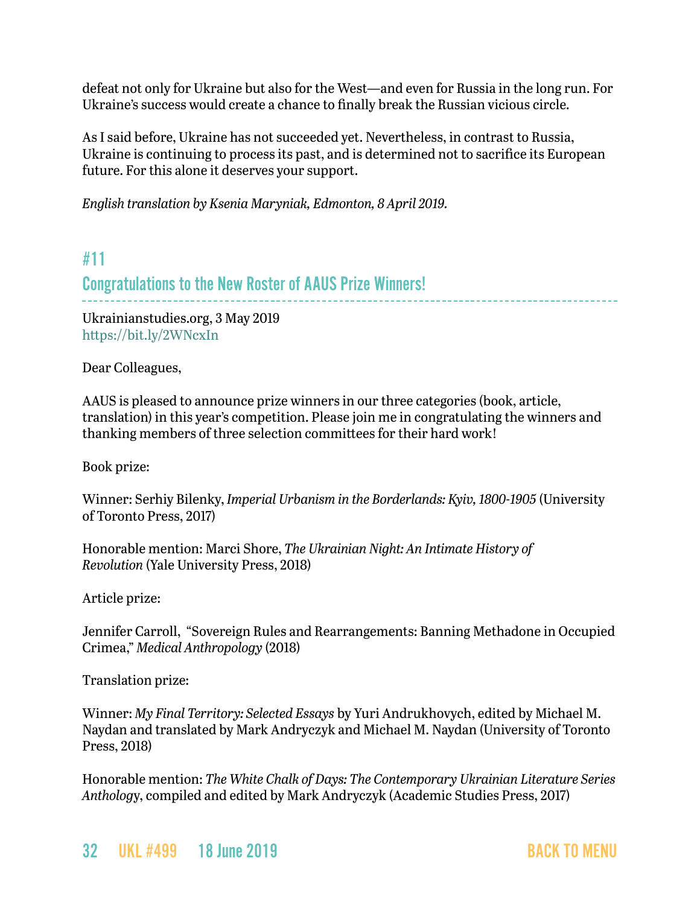defeat not only for Ukraine but also for the West—and even for Russia in the long run. For Ukraine's success would create a chance to finally break the Russian vicious circle.

As I said before, Ukraine has not succeeded yet. Nevertheless, in contrast to Russia, Ukraine is continuing to process its past, and is determined not to sacrifice its European future. For this alone it deserves your support.

*English translation by Ksenia Maryniak, Edmonton, 8 April 2019.*

## <span id="page-31-0"></span>#11

### Congratulations to the New Roster of AAUS Prize Winners!

Ukrainianstudies.org, 3 May 2019 <https://bit.ly/2WNcxIn>

Dear Colleagues,

AAUS is pleased to announce prize winners in our three categories (book, article, translation) in this year's competition. Please join me in congratulating the winners and thanking members of three selection committees for their hard work!

Book prize:

Winner: Serhiy Bilenky, *Imperial Urbanism in the Borderlands: Kyiv, 1800-1905* (University of Toronto Press, 2017)

Honorable mention: Marci Shore, *The Ukrainian Night: An Intimate History of Revolution* (Yale University Press, 2018)

Article prize:

Jennifer Carroll, "Sovereign Rules and Rearrangements: Banning Methadone in Occupied Crimea," *Medical Anthropology* (2018)

Translation prize:

Winner: *My Final Territory: Selected Essays* by Yuri Andrukhovych, edited by Michael M. Naydan and translated by Mark Andryczyk and Michael M. Naydan (University of Toronto Press, 2018)

Honorable mention: *The White Chalk of Days: The Contemporary Ukrainian Literature Series Antholog*y, compiled and edited by Mark Andryczyk (Academic Studies Press, 2017)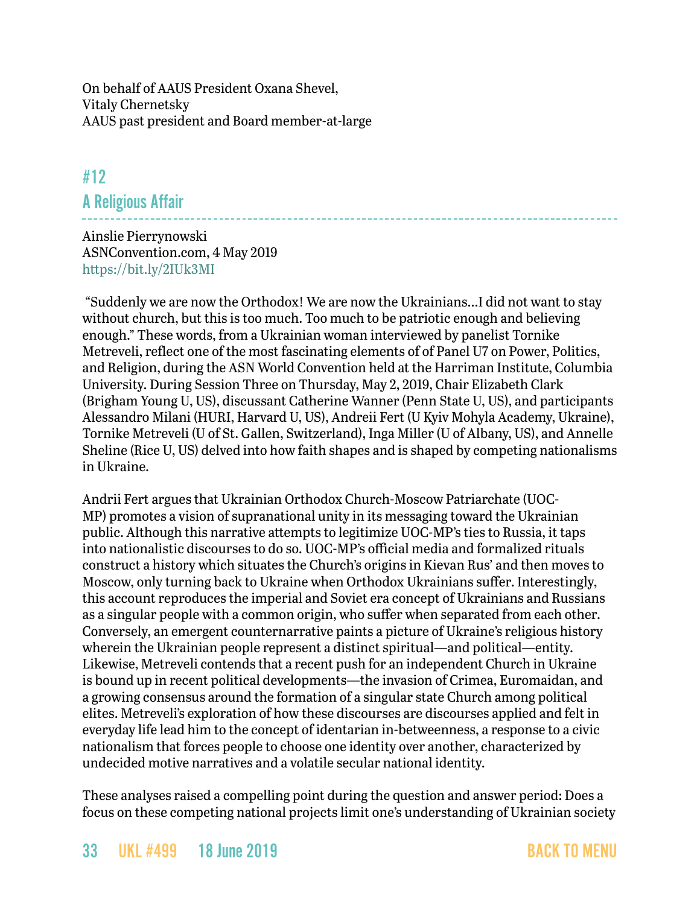On behalf of AAUS President Oxana Shevel, Vitaly Chernetsky AAUS past president and Board member-at-large

## <span id="page-32-0"></span>#12 A Religious Affair

Ainslie Pierrynowski ASNConvention.com, 4 May 2019 <https://bit.ly/2IUk3MI>

 "Suddenly we are now the Orthodox! We are now the Ukrainians...I did not want to stay without church, but this is too much. Too much to be patriotic enough and believing enough." These words, from a Ukrainian woman interviewed by panelist Tornike Metreveli, reflect one of the most fascinating elements of of Panel U7 on Power, Politics, and Religion, during the ASN World Convention held at the Harriman Institute, Columbia University. During Session Three on Thursday, May 2, 2019, Chair Elizabeth Clark (Brigham Young U, US), discussant Catherine Wanner (Penn State U, US), and participants Alessandro Milani (HURI, Harvard U, US), Andreii Fert (U Kyiv Mohyla Academy, Ukraine), Tornike Metreveli (U of St. Gallen, Switzerland), Inga Miller (U of Albany, US), and Annelle Sheline (Rice U, US) delved into how faith shapes and is shaped by competing nationalisms in Ukraine.

Andrii Fert argues that Ukrainian Orthodox Church-Moscow Patriarchate (UOC-MP) promotes a vision of supranational unity in its messaging toward the Ukrainian public. Although this narrative attempts to legitimize UOC-MP's ties to Russia, it taps into nationalistic discourses to do so. UOC-MP's official media and formalized rituals construct a history which situates the Church's origins in Kievan Rus' and then moves to Moscow, only turning back to Ukraine when Orthodox Ukrainians suffer. Interestingly, this account reproduces the imperial and Soviet era concept of Ukrainians and Russians as a singular people with a common origin, who suffer when separated from each other. Conversely, an emergent counternarrative paints a picture of Ukraine's religious history wherein the Ukrainian people represent a distinct spiritual—and political—entity. Likewise, Metreveli contends that a recent push for an independent Church in Ukraine is bound up in recent political developments—the invasion of Crimea, Euromaidan, and a growing consensus around the formation of a singular state Church among political elites. Metreveli's exploration of how these discourses are discourses applied and felt in everyday life lead him to the concept of identarian in-betweenness, a response to a civic nationalism that forces people to choose one identity over another, characterized by undecided motive narratives and a volatile secular national identity.

These analyses raised a compelling point during the question and answer period: Does a focus on these competing national projects limit one's understanding of Ukrainian society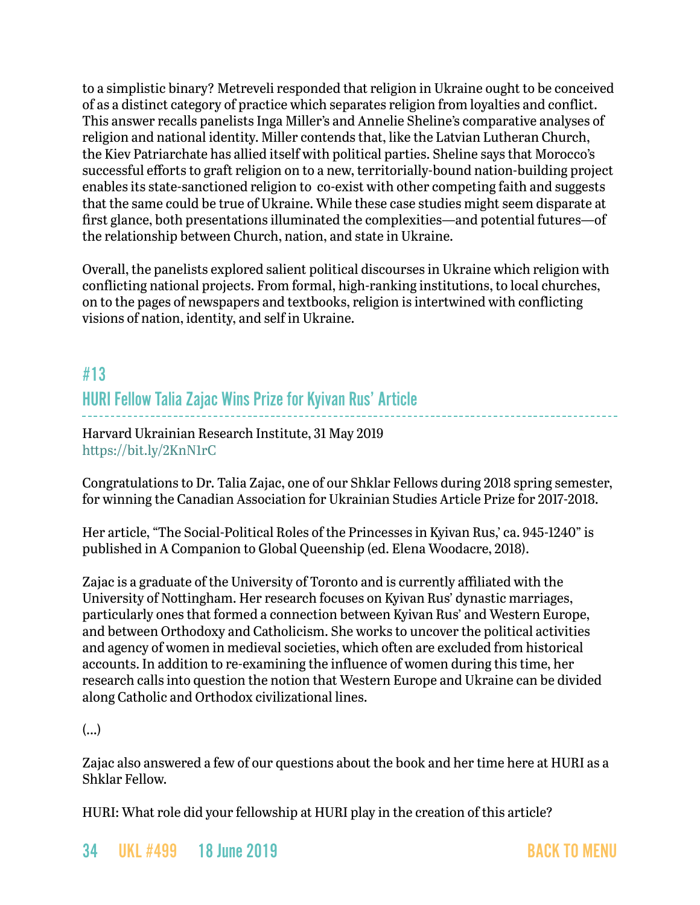to a simplistic binary? Metreveli responded that religion in Ukraine ought to be conceived of as a distinct category of practice which separates religion from loyalties and conflict. This answer recalls panelists Inga Miller's and Annelie Sheline's comparative analyses of religion and national identity. Miller contends that, like the Latvian Lutheran Church, the Kiev Patriarchate has allied itself with political parties. Sheline says that Morocco's successful efforts to graft religion on to a new, territorially-bound nation-building project enables its state-sanctioned religion to co-exist with other competing faith and suggests that the same could be true of Ukraine. While these case studies might seem disparate at first glance, both presentations illuminated the complexities—and potential futures—of the relationship between Church, nation, and state in Ukraine.

Overall, the panelists explored salient political discourses in Ukraine which religion with conflicting national projects. From formal, high-ranking institutions, to local churches, on to the pages of newspapers and textbooks, religion is intertwined with conflicting visions of nation, identity, and self in Ukraine.

# #13 HURI Fellow Talia Zajac Wins Prize for Kyivan Rus' Article

Harvard Ukrainian Research Institute, 31 May 2019 <https://bit.ly/2KnN1rC>

Congratulations to Dr. Talia Zajac, one of our Shklar Fellows during 2018 spring semester, for winning the Canadian Association for Ukrainian Studies Article Prize for 2017-2018.

Her article, "The Social-Political Roles of the Princesses in Kyivan Rus,' ca. 945-1240" is published in A Companion to Global Queenship (ed. Elena Woodacre, 2018).

Zajac is a graduate of the University of Toronto and is currently affiliated with the University of Nottingham. Her research focuses on Kyivan Rus' dynastic marriages, particularly ones that formed a connection between Kyivan Rus' and Western Europe, and between Orthodoxy and Catholicism. She works to uncover the political activities and agency of women in medieval societies, which often are excluded from historical accounts. In addition to re-examining the influence of women during this time, her research calls into question the notion that Western Europe and Ukraine can be divided along Catholic and Orthodox civilizational lines.

(...)

Zajac also answered a few of our questions about the book and her time here at HURI as a Shklar Fellow.

HURI: What role did your fellowship at HURI play in the creation of this article?

34 UKL #499 18 June 2019 [BACK TO MENU](#page-0-0)

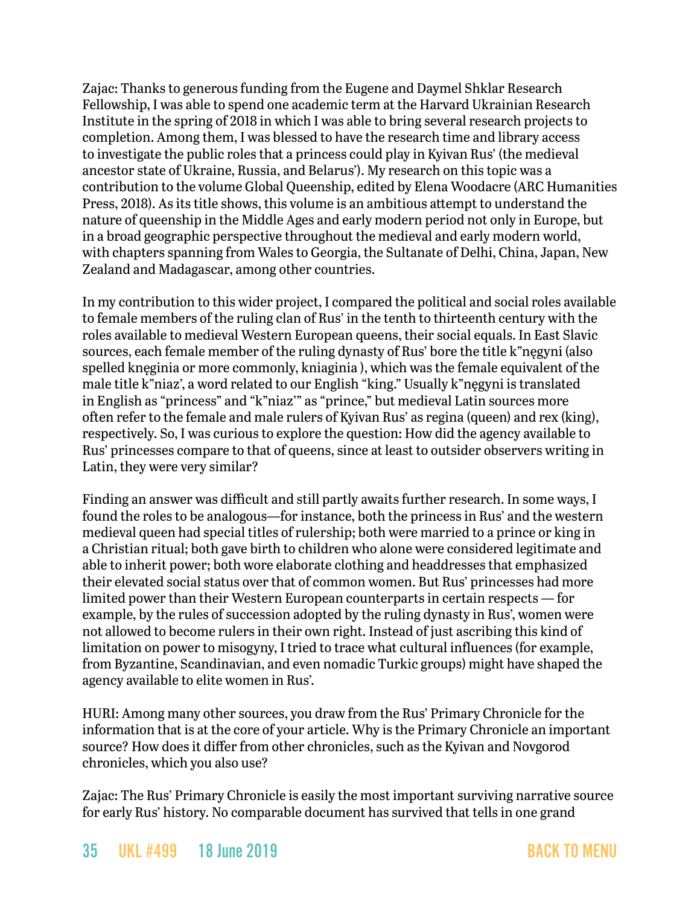Zajac: Thanks to generous funding from the Eugene and Daymel Shklar Research Fellowship, I was able to spend one academic term at the Harvard Ukrainian Research Institute in the spring of 2018 in which I was able to bring several research projects to completion. Among them, I was blessed to have the research time and library access to investigate the public roles that a princess could play in Kyivan Rus' (the medieval ancestor state of Ukraine, Russia, and Belarus'). My research on this topic was a contribution to the volume Global Queenship, edited by Elena Woodacre (ARC Humanities Press, 2018). As its title shows, this volume is an ambitious attempt to understand the nature of queenship in the Middle Ages and early modern period not only in Europe, but in a broad geographic perspective throughout the medieval and early modern world, with chapters spanning from Wales to Georgia, the Sultanate of Delhi, China, Japan, New Zealand and Madagascar, among other countries.

In my contribution to this wider project, I compared the political and social roles available to female members of the ruling clan of Rus' in the tenth to thirteenth century with the roles available to medieval Western European queens, their social equals. In East Slavic sources, each female member of the ruling dynasty of Rus' bore the title k"nęgyni (also spelled knęginia or more commonly, kniaginia ), which was the female equivalent of the male title k"niaz', a word related to our English "king." Usually k"nęgyni is translated in English as "princess" and "k"niaz'" as "prince," but medieval Latin sources more often refer to the female and male rulers of Kyivan Rus' as regina (queen) and rex (king), respectively. So, I was curious to explore the question: How did the agency available to Rus' princesses compare to that of queens, since at least to outsider observers writing in Latin, they were very similar?

Finding an answer was difficult and still partly awaits further research. In some ways, I found the roles to be analogous—for instance, both the princess in Rus' and the western medieval queen had special titles of rulership; both were married to a prince or king in a Christian ritual; both gave birth to children who alone were considered legitimate and able to inherit power; both wore elaborate clothing and headdresses that emphasized their elevated social status over that of common women. But Rus' princesses had more limited power than their Western European counterparts in certain respects — for example, by the rules of succession adopted by the ruling dynasty in Rus', women were not allowed to become rulers in their own right. Instead of just ascribing this kind of limitation on power to misogyny, I tried to trace what cultural influences (for example, from Byzantine, Scandinavian, and even nomadic Turkic groups) might have shaped the agency available to elite women in Rus'.

HURI: Among many other sources, you draw from the Rus' Primary Chronicle for the information that is at the core of your article. Why is the Primary Chronicle an important source? How does it differ from other chronicles, such as the Kyivan and Novgorod chronicles, which you also use?

Zajac: The Rus' Primary Chronicle is easily the most important surviving narrative source for early Rus' history. No comparable document has survived that tells in one grand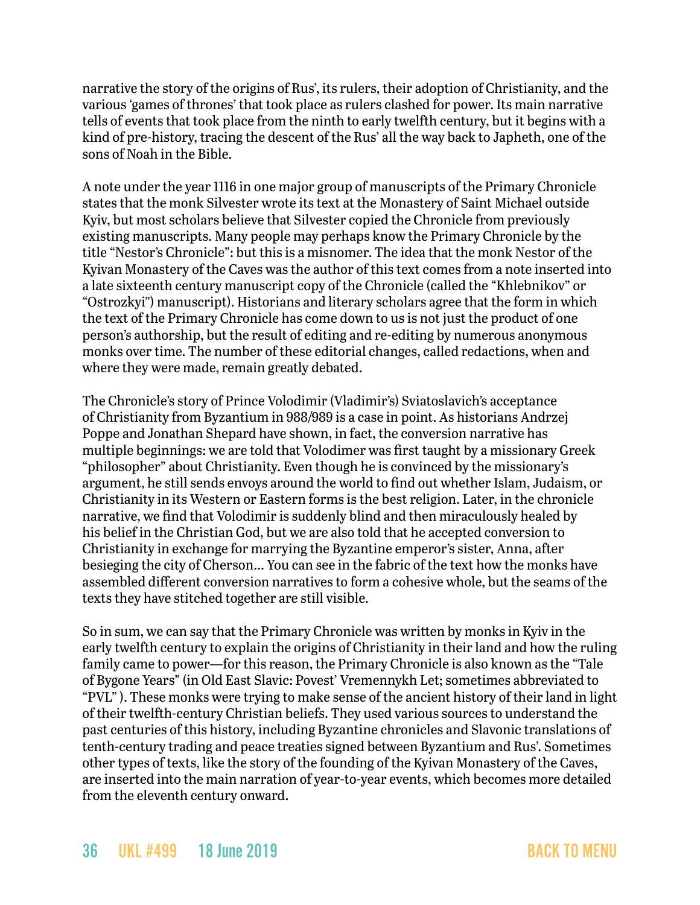narrative the story of the origins of Rus', its rulers, their adoption of Christianity, and the various 'games of thrones' that took place as rulers clashed for power. Its main narrative tells of events that took place from the ninth to early twelfth century, but it begins with a kind of pre-history, tracing the descent of the Rus' all the way back to Japheth, one of the sons of Noah in the Bible.

A note under the year 1116 in one major group of manuscripts of the Primary Chronicle states that the monk Silvester wrote its text at the Monastery of Saint Michael outside Kyiv, but most scholars believe that Silvester copied the Chronicle from previously existing manuscripts. Many people may perhaps know the Primary Chronicle by the title "Nestor's Chronicle": but this is a misnomer. The idea that the monk Nestor of the Kyivan Monastery of the Caves was the author of this text comes from a note inserted into a late sixteenth century manuscript copy of the Chronicle (called the "Khlebnikov" or "Ostrozkyi") manuscript). Historians and literary scholars agree that the form in which the text of the Primary Chronicle has come down to us is not just the product of one person's authorship, but the result of editing and re-editing by numerous anonymous monks over time. The number of these editorial changes, called redactions, when and where they were made, remain greatly debated.

The Chronicle's story of Prince Volodimir (Vladimir's) Sviatoslavich's acceptance of Christianity from Byzantium in 988/989 is a case in point. As historians Andrzej Poppe and Jonathan Shepard have shown, in fact, the conversion narrative has multiple beginnings: we are told that Volodimer was first taught by a missionary Greek "philosopher" about Christianity. Even though he is convinced by the missionary's argument, he still sends envoys around the world to find out whether Islam, Judaism, or Christianity in its Western or Eastern forms is the best religion. Later, in the chronicle narrative, we find that Volodimir is suddenly blind and then miraculously healed by his belief in the Christian God, but we are also told that he accepted conversion to Christianity in exchange for marrying the Byzantine emperor's sister, Anna, after besieging the city of Cherson… You can see in the fabric of the text how the monks have assembled different conversion narratives to form a cohesive whole, but the seams of the texts they have stitched together are still visible.

So in sum, we can say that the Primary Chronicle was written by monks in Kyiv in the early twelfth century to explain the origins of Christianity in their land and how the ruling family came to power—for this reason, the Primary Chronicle is also known as the "Tale of Bygone Years" (in Old East Slavic: Povest' Vremennykh Let; sometimes abbreviated to "PVL" ). These monks were trying to make sense of the ancient history of their land in light of their twelfth-century Christian beliefs. They used various sources to understand the past centuries of this history, including Byzantine chronicles and Slavonic translations of tenth-century trading and peace treaties signed between Byzantium and Rus'. Sometimes other types of texts, like the story of the founding of the Kyivan Monastery of the Caves, are inserted into the main narration of year-to-year events, which becomes more detailed from the eleventh century onward.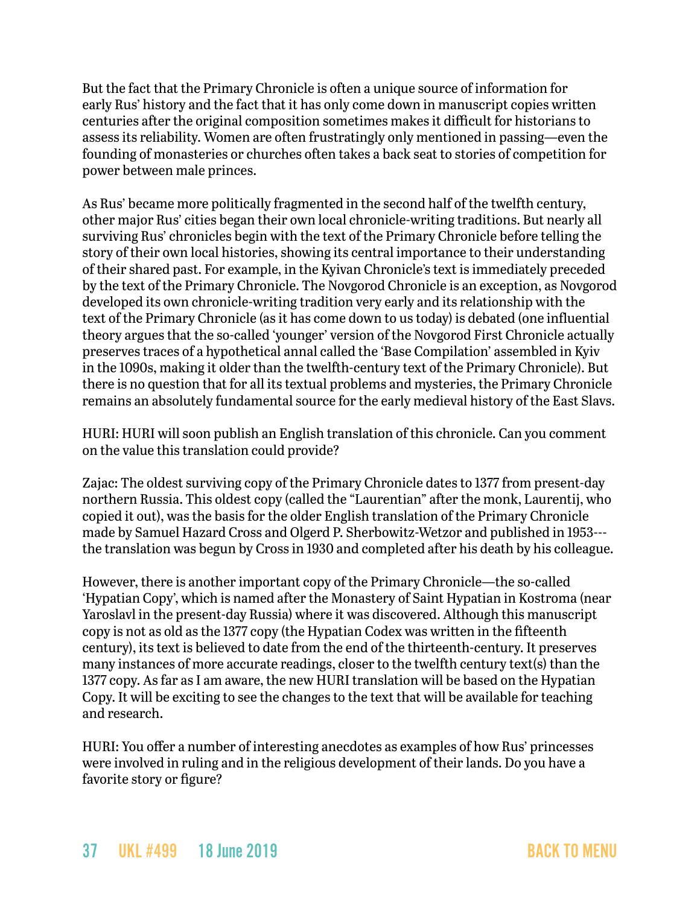But the fact that the Primary Chronicle is often a unique source of information for early Rus' history and the fact that it has only come down in manuscript copies written centuries after the original composition sometimes makes it difficult for historians to assess its reliability. Women are often frustratingly only mentioned in passing—even the founding of monasteries or churches often takes a back seat to stories of competition for power between male princes.

As Rus' became more politically fragmented in the second half of the twelfth century, other major Rus' cities began their own local chronicle-writing traditions. But nearly all surviving Rus' chronicles begin with the text of the Primary Chronicle before telling the story of their own local histories, showing its central importance to their understanding of their shared past. For example, in the Kyivan Chronicle's text is immediately preceded by the text of the Primary Chronicle. The Novgorod Chronicle is an exception, as Novgorod developed its own chronicle-writing tradition very early and its relationship with the text of the Primary Chronicle (as it has come down to us today) is debated (one influential theory argues that the so-called 'younger' version of the Novgorod First Chronicle actually preserves traces of a hypothetical annal called the 'Base Compilation' assembled in Kyiv in the 1090s, making it older than the twelfth-century text of the Primary Chronicle). But there is no question that for all its textual problems and mysteries, the Primary Chronicle remains an absolutely fundamental source for the early medieval history of the East Slavs.

HURI: HURI will soon publish an English translation of this chronicle. Can you comment on the value this translation could provide?

Zajac: The oldest surviving copy of the Primary Chronicle dates to 1377 from present-day northern Russia. This oldest copy (called the "Laurentian" after the monk, Laurentij, who copied it out), was the basis for the older English translation of the Primary Chronicle made by Samuel Hazard Cross and Olgerd P. Sherbowitz-Wetzor and published in 1953-- the translation was begun by Cross in 1930 and completed after his death by his colleague.

However, there is another important copy of the Primary Chronicle—the so-called 'Hypatian Copy', which is named after the Monastery of Saint Hypatian in Kostroma (near Yaroslavl in the present-day Russia) where it was discovered. Although this manuscript copy is not as old as the 1377 copy (the Hypatian Codex was written in the fifteenth century), its text is believed to date from the end of the thirteenth-century. It preserves many instances of more accurate readings, closer to the twelfth century text(s) than the 1377 copy. As far as I am aware, the new HURI translation will be based on the Hypatian Copy. It will be exciting to see the changes to the text that will be available for teaching and research.

HURI: You offer a number of interesting anecdotes as examples of how Rus' princesses were involved in ruling and in the religious development of their lands. Do you have a favorite story or figure?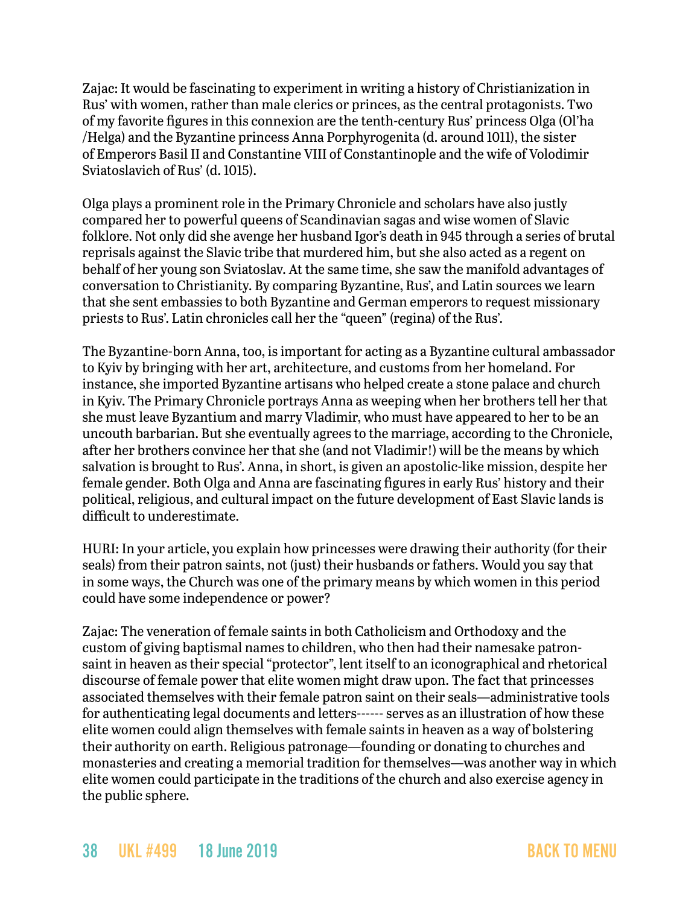Zajac: It would be fascinating to experiment in writing a history of Christianization in Rus' with women, rather than male clerics or princes, as the central protagonists. Two of my favorite figures in this connexion are the tenth-century Rus' princess Olga (Ol'ha /Helga) and the Byzantine princess Anna Porphyrogenita (d. around 1011), the sister of Emperors Basil II and Constantine VIII of Constantinople and the wife of Volodimir Sviatoslavich of Rus' (d. 1015).

Olga plays a prominent role in the Primary Chronicle and scholars have also justly compared her to powerful queens of Scandinavian sagas and wise women of Slavic folklore. Not only did she avenge her husband Igor's death in 945 through a series of brutal reprisals against the Slavic tribe that murdered him, but she also acted as a regent on behalf of her young son Sviatoslav. At the same time, she saw the manifold advantages of conversation to Christianity. By comparing Byzantine, Rus', and Latin sources we learn that she sent embassies to both Byzantine and German emperors to request missionary priests to Rus'. Latin chronicles call her the "queen" (regina) of the Rus'.

The Byzantine-born Anna, too, is important for acting as a Byzantine cultural ambassador to Kyiv by bringing with her art, architecture, and customs from her homeland. For instance, she imported Byzantine artisans who helped create a stone palace and church in Kyiv. The Primary Chronicle portrays Anna as weeping when her brothers tell her that she must leave Byzantium and marry Vladimir, who must have appeared to her to be an uncouth barbarian. But she eventually agrees to the marriage, according to the Chronicle, after her brothers convince her that she (and not Vladimir!) will be the means by which salvation is brought to Rus'. Anna, in short, is given an apostolic-like mission, despite her female gender. Both Olga and Anna are fascinating figures in early Rus' history and their political, religious, and cultural impact on the future development of East Slavic lands is difficult to underestimate.

HURI: In your article, you explain how princesses were drawing their authority (for their seals) from their patron saints, not (just) their husbands or fathers. Would you say that in some ways, the Church was one of the primary means by which women in this period could have some independence or power?

Zajac: The veneration of female saints in both Catholicism and Orthodoxy and the custom of giving baptismal names to children, who then had their namesake patronsaint in heaven as their special "protector", lent itself to an iconographical and rhetorical discourse of female power that elite women might draw upon. The fact that princesses associated themselves with their female patron saint on their seals—administrative tools for authenticating legal documents and letters------ serves as an illustration of how these elite women could align themselves with female saints in heaven as a way of bolstering their authority on earth. Religious patronage—founding or donating to churches and monasteries and creating a memorial tradition for themselves—was another way in which elite women could participate in the traditions of the church and also exercise agency in the public sphere.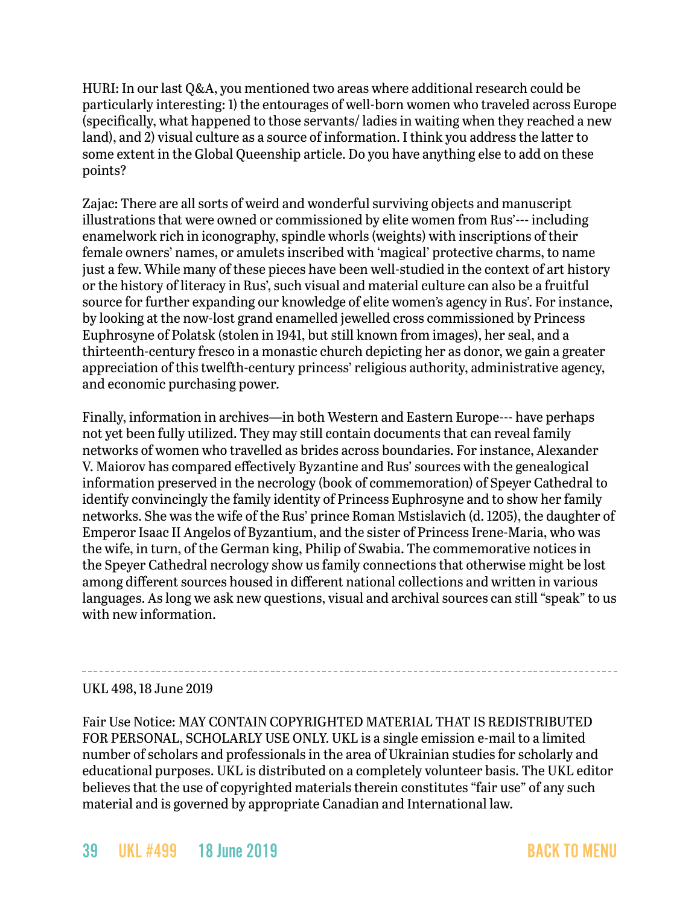HURI: In our last Q&A, you mentioned two areas where additional research could be particularly interesting: 1) the entourages of well-born women who traveled across Europe (specifically, what happened to those servants/ ladies in waiting when they reached a new land), and 2) visual culture as a source of information. I think you address the latter to some extent in the Global Queenship article. Do you have anything else to add on these points?

Zajac: There are all sorts of weird and wonderful surviving objects and manuscript illustrations that were owned or commissioned by elite women from Rus'--- including enamelwork rich in iconography, spindle whorls (weights) with inscriptions of their female owners' names, or amulets inscribed with 'magical' protective charms, to name just a few. While many of these pieces have been well-studied in the context of art history or the history of literacy in Rus', such visual and material culture can also be a fruitful source for further expanding our knowledge of elite women's agency in Rus'. For instance, by looking at the now-lost grand enamelled jewelled cross commissioned by Princess Euphrosyne of Polatsk (stolen in 1941, but still known from images), her seal, and a thirteenth-century fresco in a monastic church depicting her as donor, we gain a greater appreciation of this twelfth-century princess' religious authority, administrative agency, and economic purchasing power.

Finally, information in archives—in both Western and Eastern Europe--- have perhaps not yet been fully utilized. They may still contain documents that can reveal family networks of women who travelled as brides across boundaries. For instance, Alexander V. Maiorov has compared effectively Byzantine and Rus' sources with the genealogical information preserved in the necrology (book of commemoration) of Speyer Cathedral to identify convincingly the family identity of Princess Euphrosyne and to show her family networks. She was the wife of the Rus' prince Roman Mstislavich (d. 1205), the daughter of Emperor Isaac II Angelos of Byzantium, and the sister of Princess Irene-Maria, who was the wife, in turn, of the German king, Philip of Swabia. The commemorative notices in the Speyer Cathedral necrology show us family connections that otherwise might be lost among different sources housed in different national collections and written in various languages. As long we ask new questions, visual and archival sources can still "speak" to us with new information.

### UKL 498, 18 June 2019

Fair Use Notice: MAY CONTAIN COPYRIGHTED MATERIAL THAT IS REDISTRIBUTED FOR PERSONAL, SCHOLARLY USE ONLY. UKL is a single emission e-mail to a limited number of scholars and professionals in the area of Ukrainian studies for scholarly and educational purposes. UKL is distributed on a completely volunteer basis. The UKL editor believes that the use of copyrighted materials therein constitutes "fair use" of any such material and is governed by appropriate Canadian and International law.